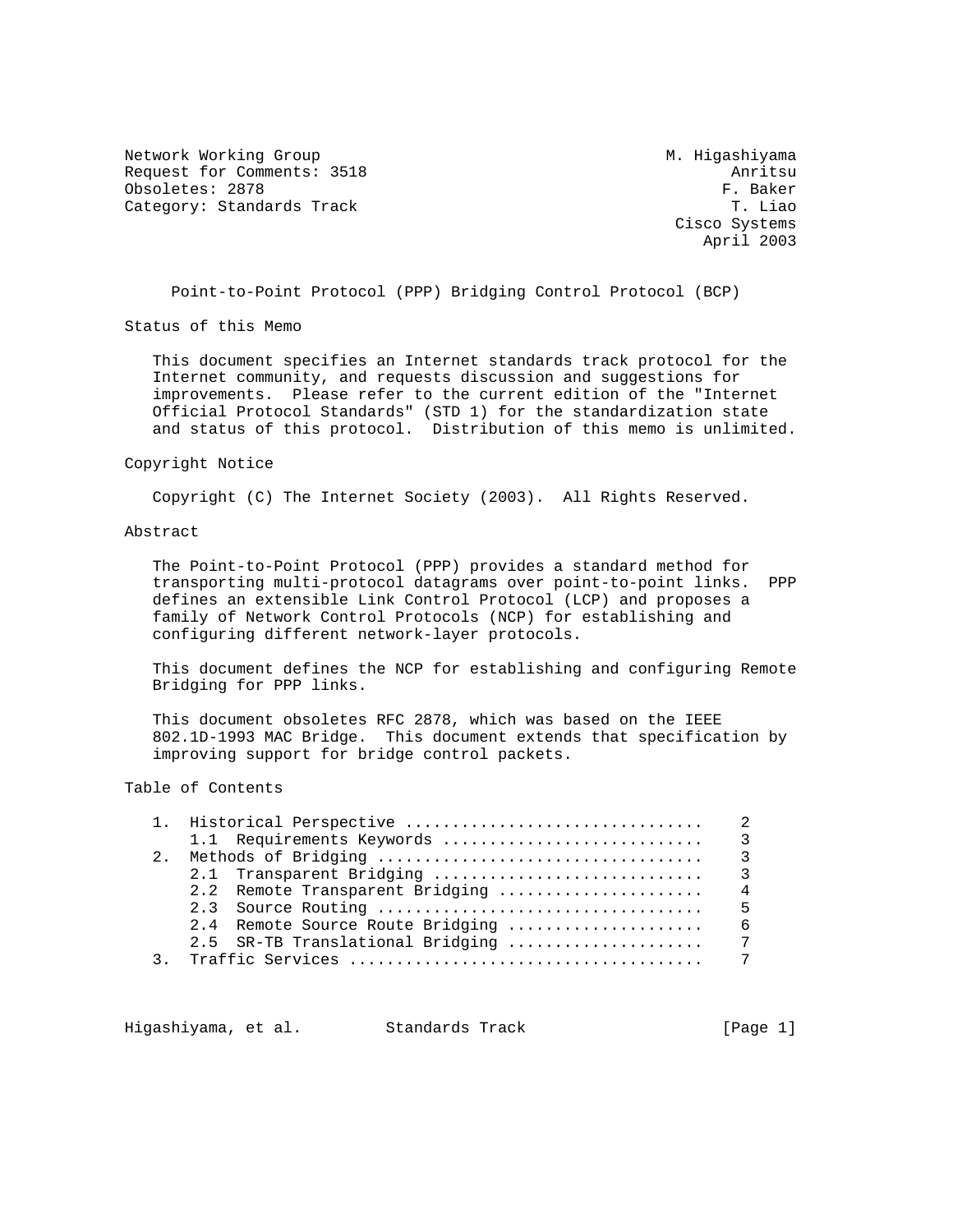Network Working Group Metwork Working Group Metwork Metwork Metaphysis Request for Comments: 3518 <br>
Obsoletes: 2878 <br>
F. Baker Obsoletes: 2878 F. Baker<br>Category: Standards Track Category: Standards Track Category: Standards Track

 Cisco Systems April 2003

Point-to-Point Protocol (PPP) Bridging Control Protocol (BCP)

Status of this Memo

 This document specifies an Internet standards track protocol for the Internet community, and requests discussion and suggestions for improvements. Please refer to the current edition of the "Internet Official Protocol Standards" (STD 1) for the standardization state and status of this protocol. Distribution of this memo is unlimited.

#### Copyright Notice

Copyright (C) The Internet Society (2003). All Rights Reserved.

# Abstract

 The Point-to-Point Protocol (PPP) provides a standard method for transporting multi-protocol datagrams over point-to-point links. PPP defines an extensible Link Control Protocol (LCP) and proposes a family of Network Control Protocols (NCP) for establishing and configuring different network-layer protocols.

 This document defines the NCP for establishing and configuring Remote Bridging for PPP links.

 This document obsoletes RFC 2878, which was based on the IEEE 802.1D-1993 MAC Bridge. This document extends that specification by improving support for bridge control packets.

# Table of Contents

| 2.1 |                                  |                |
|-----|----------------------------------|----------------|
|     |                                  |                |
|     | 2.2 Remote Transparent Bridging  | $\overline{4}$ |
|     |                                  |                |
|     | 2.4 Remote Source Route Bridging | - 6            |
|     |                                  |                |
|     |                                  |                |
|     |                                  |                |

Higashiyama, et al. Standards Track [Page 1]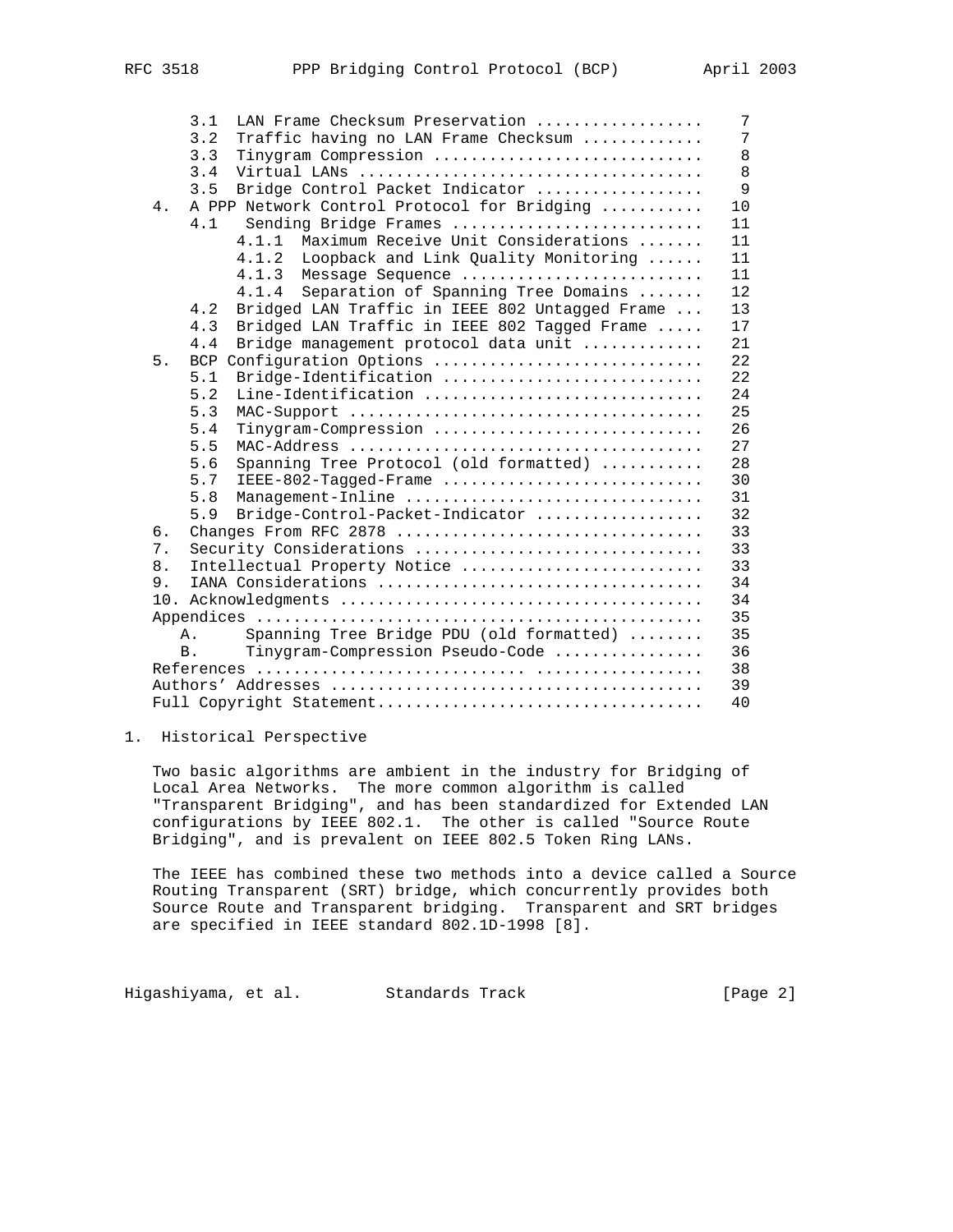|      | 3.1        | LAN Frame Checksum Preservation                | 7       |
|------|------------|------------------------------------------------|---------|
|      | 3.2        | Traffic having no LAN Frame Checksum           | 7       |
|      | 3.3        | Tinygram Compression                           | $\,8\,$ |
|      | 3.4        |                                                | 8       |
|      | 3.5        | Bridge Control Packet Indicator                | 9       |
| 4.   |            | A PPP Network Control Protocol for Bridging    | 10      |
|      | 4.1        | Sending Bridge Frames                          | 11      |
|      |            | Maximum Receive Unit Considerations<br>4.1.1   | 11      |
|      |            | 4.1.2<br>Loopback and Link Quality Monitoring  | 11      |
|      |            | 4.1.3<br>Message Sequence                      | 11      |
|      |            | Separation of Spanning Tree Domains<br>4.1.4   | 12      |
|      | 4.2        | Bridged LAN Traffic in IEEE 802 Untagged Frame | 13      |
|      | 4.3        | Bridged LAN Traffic in IEEE 802 Tagged Frame   | 17      |
|      | 4.4        | Bridge management protocol data unit           | 21      |
| $5.$ | <b>BCP</b> | Configuration Options                          | 22      |
|      | 5.1        | Bridge-Identification                          | 22      |
|      | 5.2        | Line-Identification                            | 24      |
|      | 5.3        |                                                | 25      |
|      | 5.4        | Tinygram-Compression                           | 26      |
|      | 5.5        |                                                | 27      |
|      | 5.6        | Spanning Tree Protocol (old formatted)         | 28      |
|      | 5.7        | IEEE-802-Tagged-Frame                          | 30      |
|      | 5.8        | Management-Inline                              | 31      |
|      | 5.9        | Bridge-Control-Packet-Indicator                | 32      |
| б.   |            |                                                | 33      |
| 7.   |            | Security Considerations                        | 33      |
| 8.   |            | Intellectual Property Notice                   | 33      |
| 9.   |            | IANA Considerations                            | 34      |
|      |            |                                                | 34      |
|      |            |                                                | 35      |
|      | Α.         | Spanning Tree Bridge PDU (old formatted)       | 35      |
|      | <b>B</b> . | Tinygram-Compression Pseudo-Code               | 36      |
|      |            |                                                | 38      |
|      |            |                                                | 39      |
|      |            |                                                | 40      |

# 1. Historical Perspective

 Two basic algorithms are ambient in the industry for Bridging of Local Area Networks. The more common algorithm is called "Transparent Bridging", and has been standardized for Extended LAN configurations by IEEE 802.1. The other is called "Source Route Bridging", and is prevalent on IEEE 802.5 Token Ring LANs.

 The IEEE has combined these two methods into a device called a Source Routing Transparent (SRT) bridge, which concurrently provides both Source Route and Transparent bridging. Transparent and SRT bridges are specified in IEEE standard 802.1D-1998 [8].

Higashiyama, et al. Standards Track [Page 2]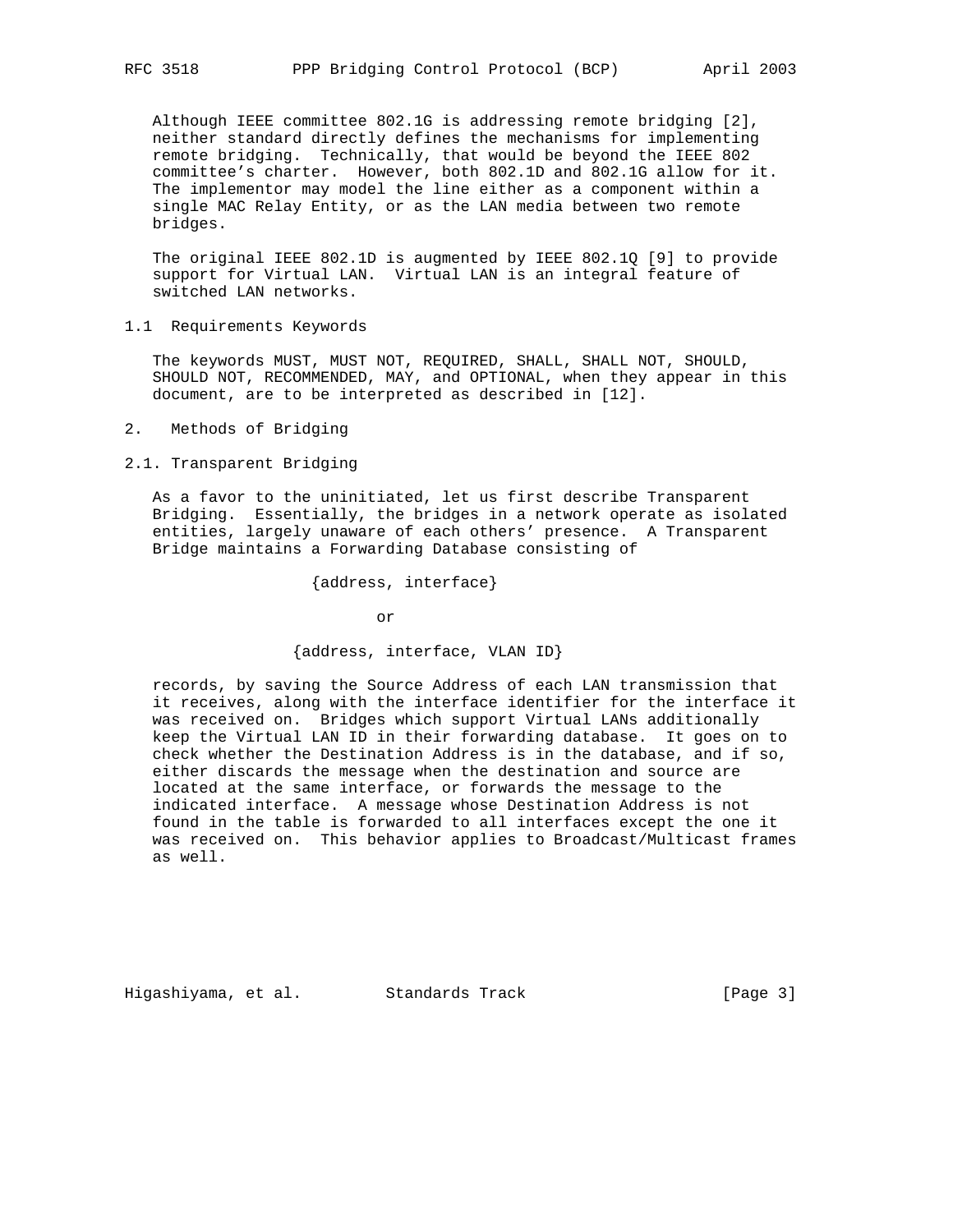Although IEEE committee 802.1G is addressing remote bridging [2], neither standard directly defines the mechanisms for implementing remote bridging. Technically, that would be beyond the IEEE 802 committee's charter. However, both 802.1D and 802.1G allow for it. The implementor may model the line either as a component within a single MAC Relay Entity, or as the LAN media between two remote bridges.

 The original IEEE 802.1D is augmented by IEEE 802.1Q [9] to provide support for Virtual LAN. Virtual LAN is an integral feature of switched LAN networks.

1.1 Requirements Keywords

 The keywords MUST, MUST NOT, REQUIRED, SHALL, SHALL NOT, SHOULD, SHOULD NOT, RECOMMENDED, MAY, and OPTIONAL, when they appear in this document, are to be interpreted as described in [12].

2. Methods of Bridging

#### 2.1. Transparent Bridging

 As a favor to the uninitiated, let us first describe Transparent Bridging. Essentially, the bridges in a network operate as isolated entities, largely unaware of each others' presence. A Transparent Bridge maintains a Forwarding Database consisting of

{address, interface}

or

#### {address, interface, VLAN ID}

 records, by saving the Source Address of each LAN transmission that it receives, along with the interface identifier for the interface it was received on. Bridges which support Virtual LANs additionally keep the Virtual LAN ID in their forwarding database. It goes on to check whether the Destination Address is in the database, and if so, either discards the message when the destination and source are located at the same interface, or forwards the message to the indicated interface. A message whose Destination Address is not found in the table is forwarded to all interfaces except the one it was received on. This behavior applies to Broadcast/Multicast frames as well.

Higashiyama, et al. Standards Track [Page 3]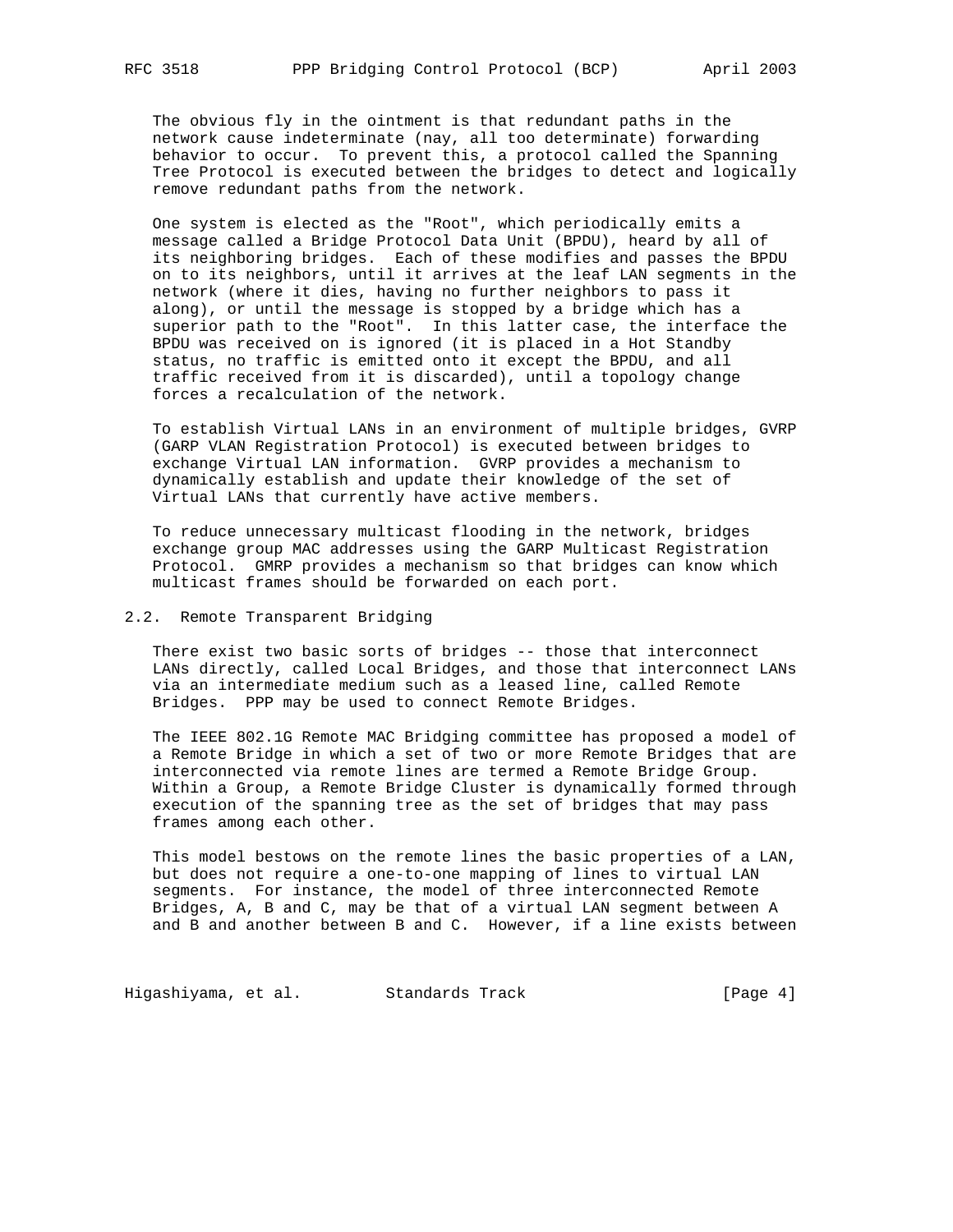The obvious fly in the ointment is that redundant paths in the network cause indeterminate (nay, all too determinate) forwarding behavior to occur. To prevent this, a protocol called the Spanning Tree Protocol is executed between the bridges to detect and logically remove redundant paths from the network.

 One system is elected as the "Root", which periodically emits a message called a Bridge Protocol Data Unit (BPDU), heard by all of its neighboring bridges. Each of these modifies and passes the BPDU on to its neighbors, until it arrives at the leaf LAN segments in the network (where it dies, having no further neighbors to pass it along), or until the message is stopped by a bridge which has a superior path to the "Root". In this latter case, the interface the BPDU was received on is ignored (it is placed in a Hot Standby status, no traffic is emitted onto it except the BPDU, and all traffic received from it is discarded), until a topology change forces a recalculation of the network.

 To establish Virtual LANs in an environment of multiple bridges, GVRP (GARP VLAN Registration Protocol) is executed between bridges to exchange Virtual LAN information. GVRP provides a mechanism to dynamically establish and update their knowledge of the set of Virtual LANs that currently have active members.

 To reduce unnecessary multicast flooding in the network, bridges exchange group MAC addresses using the GARP Multicast Registration Protocol. GMRP provides a mechanism so that bridges can know which multicast frames should be forwarded on each port.

# 2.2. Remote Transparent Bridging

 There exist two basic sorts of bridges -- those that interconnect LANs directly, called Local Bridges, and those that interconnect LANs via an intermediate medium such as a leased line, called Remote Bridges. PPP may be used to connect Remote Bridges.

 The IEEE 802.1G Remote MAC Bridging committee has proposed a model of a Remote Bridge in which a set of two or more Remote Bridges that are interconnected via remote lines are termed a Remote Bridge Group. Within a Group, a Remote Bridge Cluster is dynamically formed through execution of the spanning tree as the set of bridges that may pass frames among each other.

 This model bestows on the remote lines the basic properties of a LAN, but does not require a one-to-one mapping of lines to virtual LAN segments. For instance, the model of three interconnected Remote Bridges, A, B and C, may be that of a virtual LAN segment between A and B and another between B and C. However, if a line exists between

Higashiyama, et al. Standards Track and all all standards Track and the set of  $[Page 4]$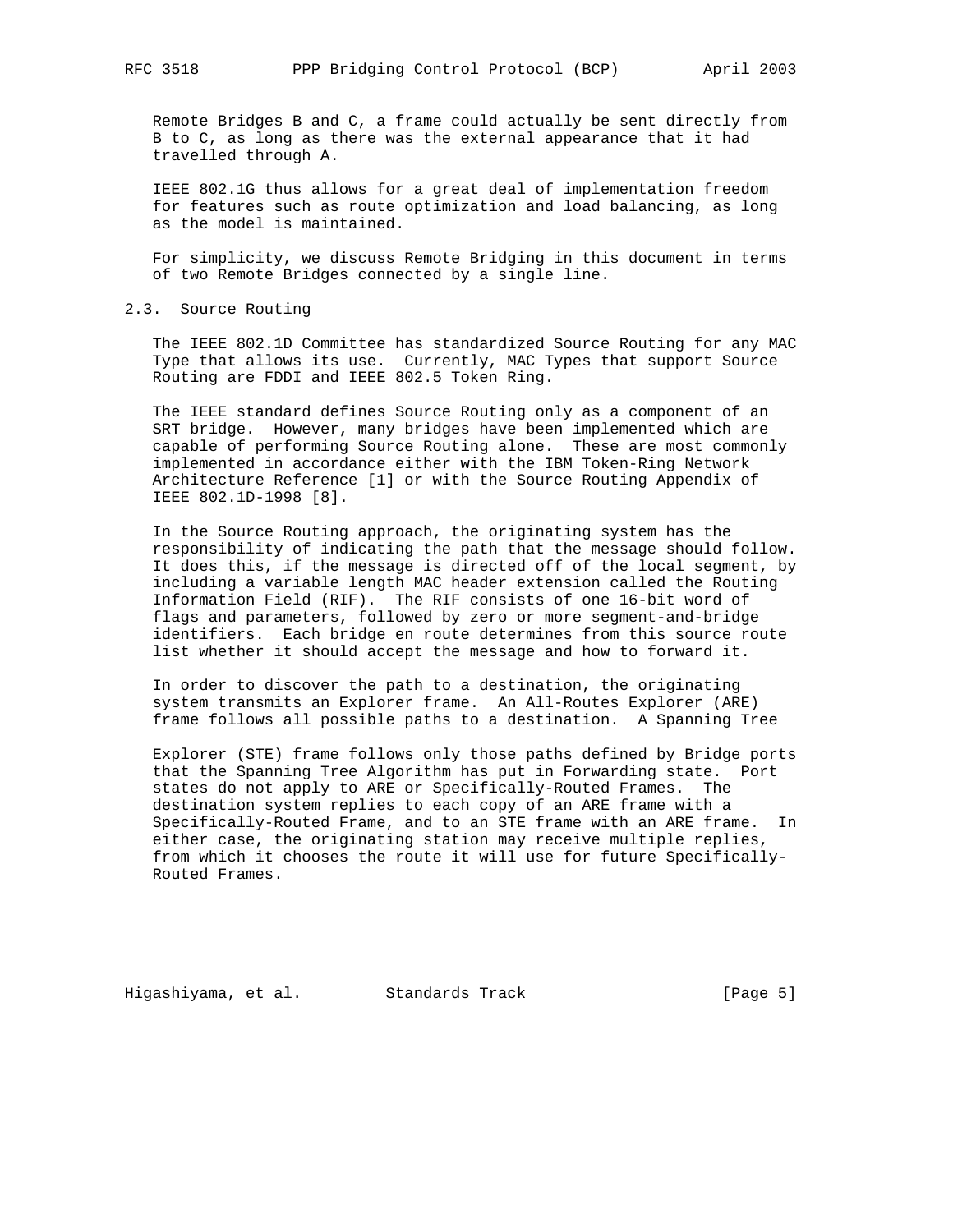Remote Bridges B and C, a frame could actually be sent directly from B to C, as long as there was the external appearance that it had travelled through A.

 IEEE 802.1G thus allows for a great deal of implementation freedom for features such as route optimization and load balancing, as long as the model is maintained.

 For simplicity, we discuss Remote Bridging in this document in terms of two Remote Bridges connected by a single line.

# 2.3. Source Routing

 The IEEE 802.1D Committee has standardized Source Routing for any MAC Type that allows its use. Currently, MAC Types that support Source Routing are FDDI and IEEE 802.5 Token Ring.

 The IEEE standard defines Source Routing only as a component of an SRT bridge. However, many bridges have been implemented which are capable of performing Source Routing alone. These are most commonly implemented in accordance either with the IBM Token-Ring Network Architecture Reference [1] or with the Source Routing Appendix of IEEE 802.1D-1998 [8].

 In the Source Routing approach, the originating system has the responsibility of indicating the path that the message should follow. It does this, if the message is directed off of the local segment, by including a variable length MAC header extension called the Routing Information Field (RIF). The RIF consists of one 16-bit word of flags and parameters, followed by zero or more segment-and-bridge identifiers. Each bridge en route determines from this source route list whether it should accept the message and how to forward it.

 In order to discover the path to a destination, the originating system transmits an Explorer frame. An All-Routes Explorer (ARE) frame follows all possible paths to a destination. A Spanning Tree

 Explorer (STE) frame follows only those paths defined by Bridge ports that the Spanning Tree Algorithm has put in Forwarding state. Port states do not apply to ARE or Specifically-Routed Frames. The destination system replies to each copy of an ARE frame with a Specifically-Routed Frame, and to an STE frame with an ARE frame. In either case, the originating station may receive multiple replies, from which it chooses the route it will use for future Specifically- Routed Frames.

Higashiyama, et al. Standards Track [Page 5]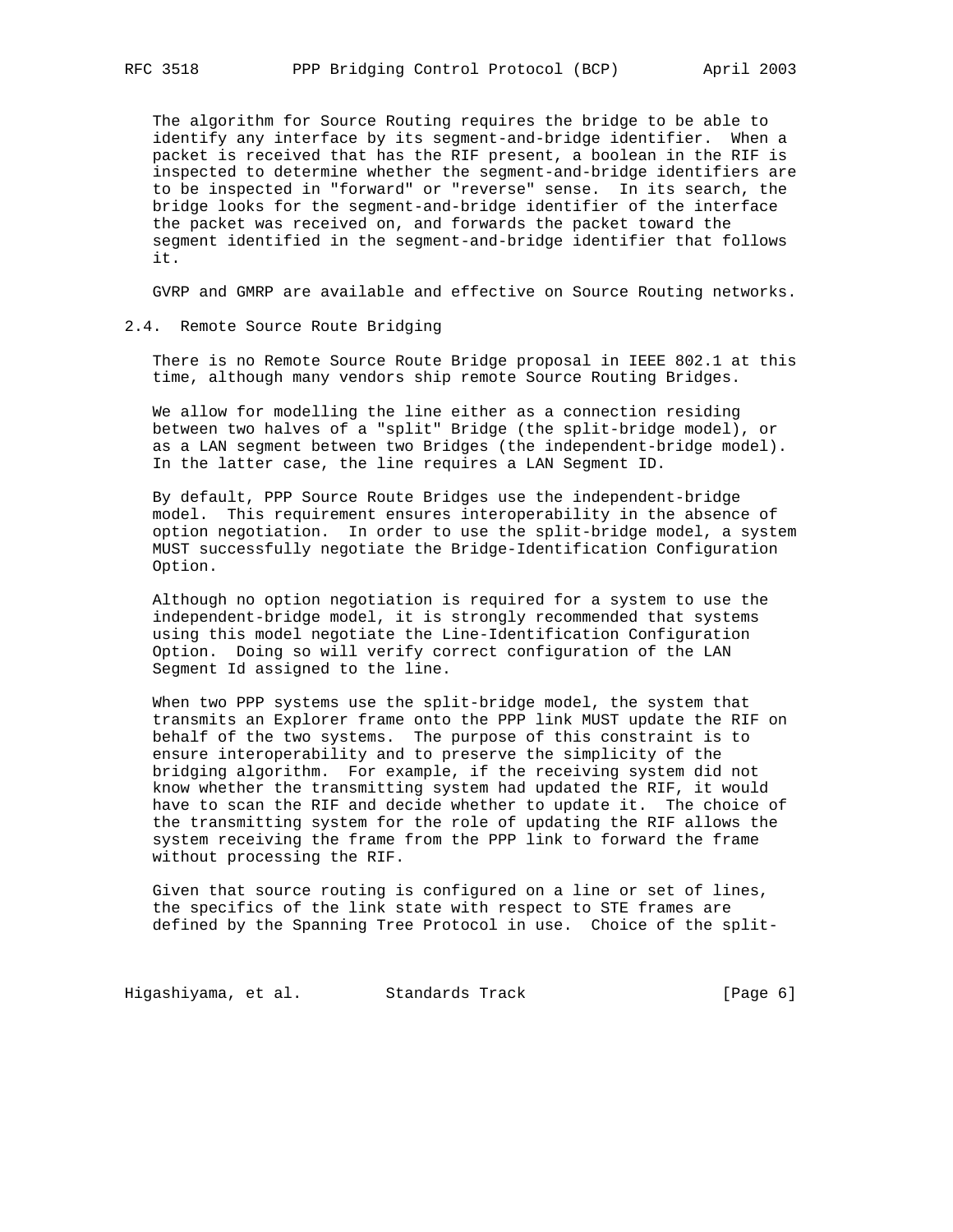The algorithm for Source Routing requires the bridge to be able to identify any interface by its segment-and-bridge identifier. When a packet is received that has the RIF present, a boolean in the RIF is inspected to determine whether the segment-and-bridge identifiers are to be inspected in "forward" or "reverse" sense. In its search, the bridge looks for the segment-and-bridge identifier of the interface the packet was received on, and forwards the packet toward the segment identified in the segment-and-bridge identifier that follows it.

GVRP and GMRP are available and effective on Source Routing networks.

# 2.4. Remote Source Route Bridging

 There is no Remote Source Route Bridge proposal in IEEE 802.1 at this time, although many vendors ship remote Source Routing Bridges.

 We allow for modelling the line either as a connection residing between two halves of a "split" Bridge (the split-bridge model), or as a LAN segment between two Bridges (the independent-bridge model). In the latter case, the line requires a LAN Segment ID.

 By default, PPP Source Route Bridges use the independent-bridge model. This requirement ensures interoperability in the absence of option negotiation. In order to use the split-bridge model, a system MUST successfully negotiate the Bridge-Identification Configuration Option.

 Although no option negotiation is required for a system to use the independent-bridge model, it is strongly recommended that systems using this model negotiate the Line-Identification Configuration Option. Doing so will verify correct configuration of the LAN Segment Id assigned to the line.

 When two PPP systems use the split-bridge model, the system that transmits an Explorer frame onto the PPP link MUST update the RIF on behalf of the two systems. The purpose of this constraint is to ensure interoperability and to preserve the simplicity of the bridging algorithm. For example, if the receiving system did not know whether the transmitting system had updated the RIF, it would have to scan the RIF and decide whether to update it. The choice of the transmitting system for the role of updating the RIF allows the system receiving the frame from the PPP link to forward the frame without processing the RIF.

 Given that source routing is configured on a line or set of lines, the specifics of the link state with respect to STE frames are defined by the Spanning Tree Protocol in use. Choice of the split-

Higashiyama, et al. Standards Track (Page 6)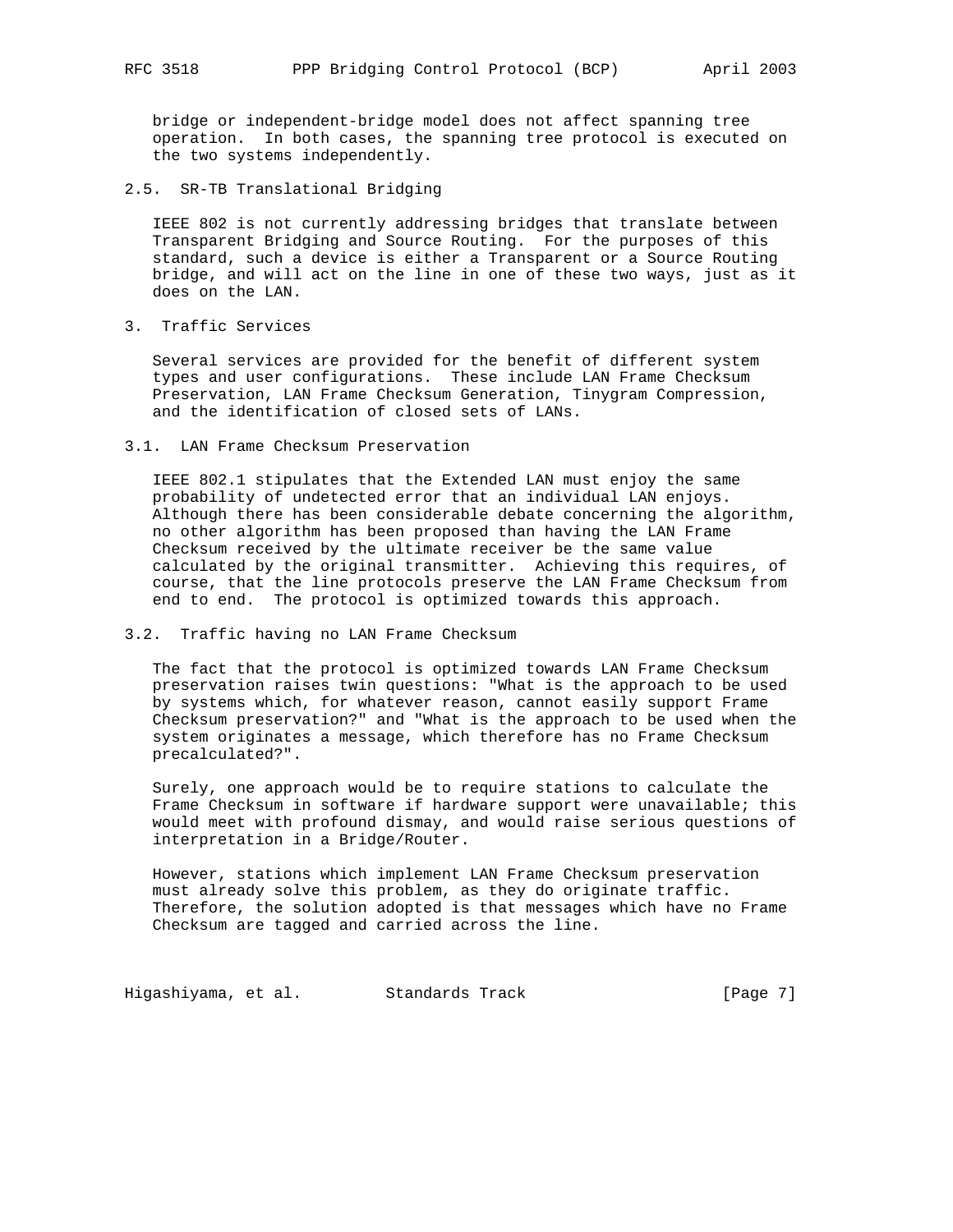bridge or independent-bridge model does not affect spanning tree operation. In both cases, the spanning tree protocol is executed on the two systems independently.

2.5. SR-TB Translational Bridging

 IEEE 802 is not currently addressing bridges that translate between Transparent Bridging and Source Routing. For the purposes of this standard, such a device is either a Transparent or a Source Routing bridge, and will act on the line in one of these two ways, just as it does on the LAN.

3. Traffic Services

 Several services are provided for the benefit of different system types and user configurations. These include LAN Frame Checksum Preservation, LAN Frame Checksum Generation, Tinygram Compression, and the identification of closed sets of LANs.

3.1. LAN Frame Checksum Preservation

 IEEE 802.1 stipulates that the Extended LAN must enjoy the same probability of undetected error that an individual LAN enjoys. Although there has been considerable debate concerning the algorithm, no other algorithm has been proposed than having the LAN Frame Checksum received by the ultimate receiver be the same value calculated by the original transmitter. Achieving this requires, of course, that the line protocols preserve the LAN Frame Checksum from end to end. The protocol is optimized towards this approach.

3.2. Traffic having no LAN Frame Checksum

 The fact that the protocol is optimized towards LAN Frame Checksum preservation raises twin questions: "What is the approach to be used by systems which, for whatever reason, cannot easily support Frame Checksum preservation?" and "What is the approach to be used when the system originates a message, which therefore has no Frame Checksum precalculated?".

 Surely, one approach would be to require stations to calculate the Frame Checksum in software if hardware support were unavailable; this would meet with profound dismay, and would raise serious questions of interpretation in a Bridge/Router.

 However, stations which implement LAN Frame Checksum preservation must already solve this problem, as they do originate traffic. Therefore, the solution adopted is that messages which have no Frame Checksum are tagged and carried across the line.

Higashiyama, et al. Standards Track Frack [Page 7]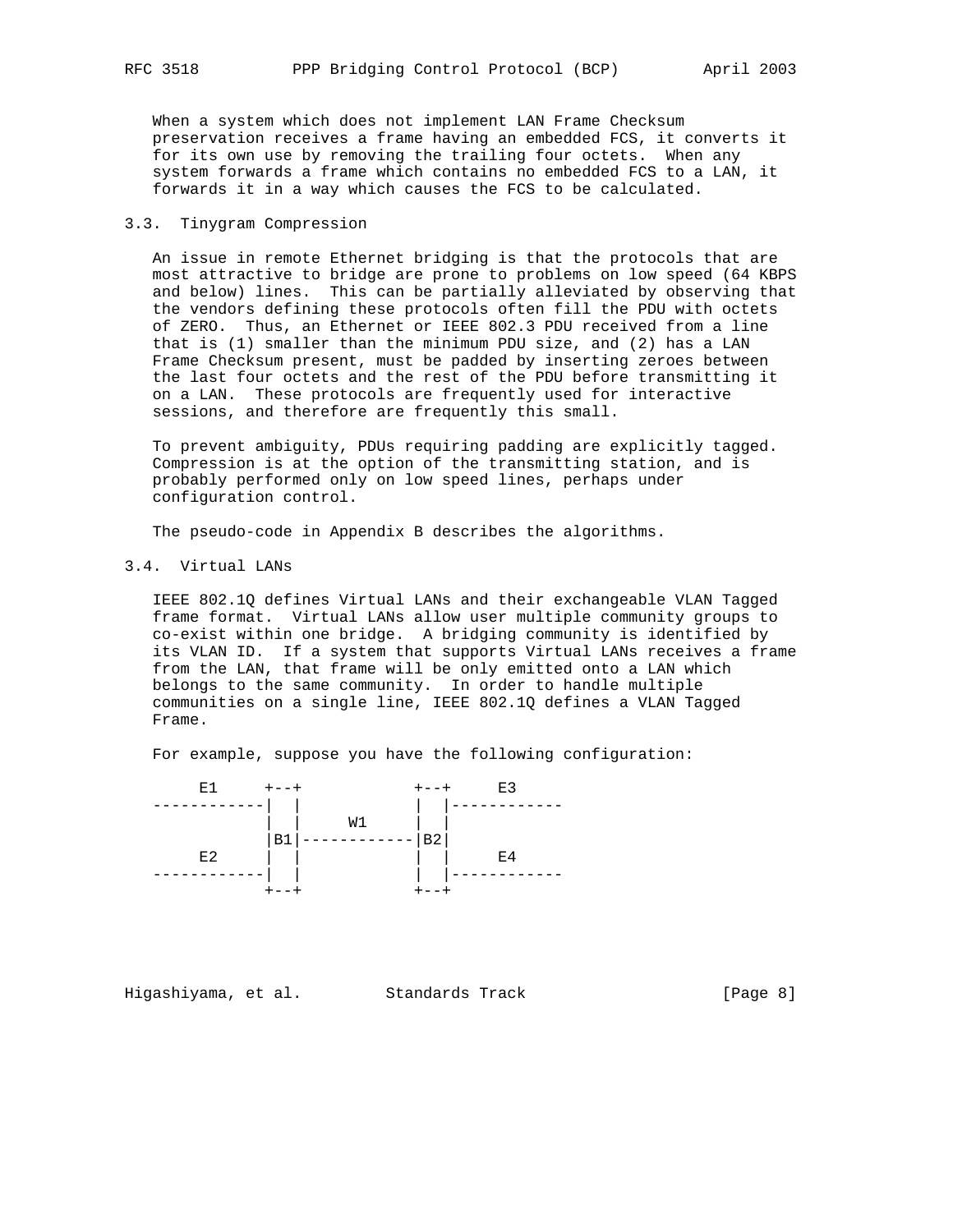When a system which does not implement LAN Frame Checksum preservation receives a frame having an embedded FCS, it converts it for its own use by removing the trailing four octets. When any system forwards a frame which contains no embedded FCS to a LAN, it forwards it in a way which causes the FCS to be calculated.

# 3.3. Tinygram Compression

 An issue in remote Ethernet bridging is that the protocols that are most attractive to bridge are prone to problems on low speed (64 KBPS and below) lines. This can be partially alleviated by observing that the vendors defining these protocols often fill the PDU with octets of ZERO. Thus, an Ethernet or IEEE 802.3 PDU received from a line that is (1) smaller than the minimum PDU size, and (2) has a LAN Frame Checksum present, must be padded by inserting zeroes between the last four octets and the rest of the PDU before transmitting it on a LAN. These protocols are frequently used for interactive sessions, and therefore are frequently this small.

 To prevent ambiguity, PDUs requiring padding are explicitly tagged. Compression is at the option of the transmitting station, and is probably performed only on low speed lines, perhaps under configuration control.

The pseudo-code in Appendix B describes the algorithms.

3.4. Virtual LANs

 IEEE 802.1Q defines Virtual LANs and their exchangeable VLAN Tagged frame format. Virtual LANs allow user multiple community groups to co-exist within one bridge. A bridging community is identified by its VLAN ID. If a system that supports Virtual LANs receives a frame from the LAN, that frame will be only emitted onto a LAN which belongs to the same community. In order to handle multiple communities on a single line, IEEE 802.1Q defines a VLAN Tagged Frame.

For example, suppose you have the following configuration:



Higashiyama, et al. Standards Track (Page 8)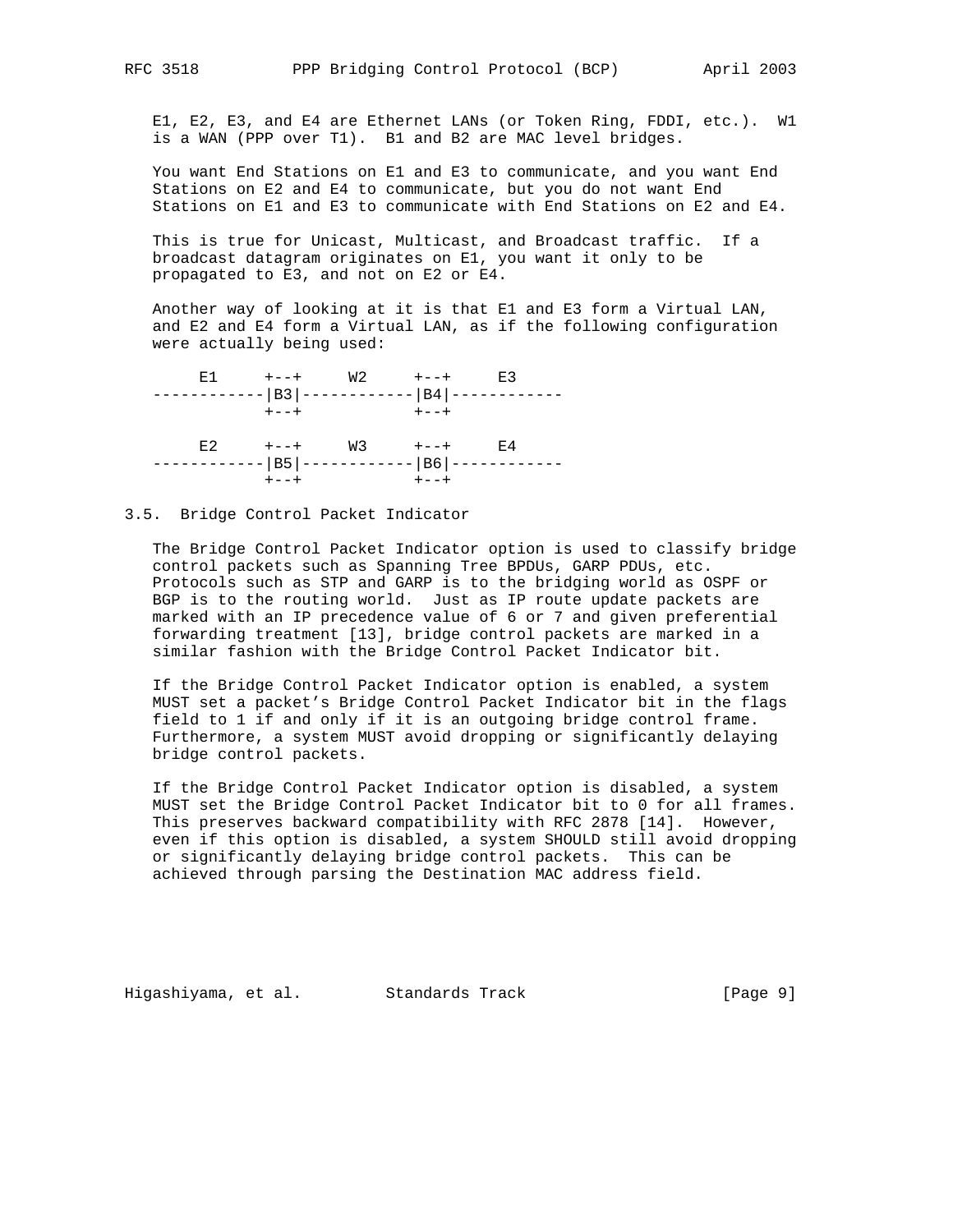E1, E2, E3, and E4 are Ethernet LANs (or Token Ring, FDDI, etc.). W1 is a WAN (PPP over T1). B1 and B2 are MAC level bridges.

 You want End Stations on E1 and E3 to communicate, and you want End Stations on E2 and E4 to communicate, but you do not want End Stations on E1 and E3 to communicate with End Stations on E2 and E4.

 This is true for Unicast, Multicast, and Broadcast traffic. If a broadcast datagram originates on E1, you want it only to be propagated to E3, and not on E2 or E4.

 Another way of looking at it is that E1 and E3 form a Virtual LAN, and E2 and E4 form a Virtual LAN, as if the following configuration were actually being used:

| E1 | +--+ W2 +--+ |        | E.3 |  |
|----|--------------|--------|-----|--|
|    |              |        |     |  |
|    | $+ - - +$    | $+--+$ |     |  |
|    |              |        |     |  |
| E2 | $+--+$ $W3$  | $+--+$ | F.4 |  |
|    |              |        |     |  |
|    |              |        |     |  |
|    | $+ - - +$    | $+--+$ |     |  |

# 3.5. Bridge Control Packet Indicator

 The Bridge Control Packet Indicator option is used to classify bridge control packets such as Spanning Tree BPDUs, GARP PDUs, etc. Protocols such as STP and GARP is to the bridging world as OSPF or BGP is to the routing world. Just as IP route update packets are marked with an IP precedence value of 6 or 7 and given preferential forwarding treatment [13], bridge control packets are marked in a similar fashion with the Bridge Control Packet Indicator bit.

 If the Bridge Control Packet Indicator option is enabled, a system MUST set a packet's Bridge Control Packet Indicator bit in the flags field to 1 if and only if it is an outgoing bridge control frame. Furthermore, a system MUST avoid dropping or significantly delaying bridge control packets.

 If the Bridge Control Packet Indicator option is disabled, a system MUST set the Bridge Control Packet Indicator bit to 0 for all frames. This preserves backward compatibility with RFC 2878 [14]. However, even if this option is disabled, a system SHOULD still avoid dropping or significantly delaying bridge control packets. This can be achieved through parsing the Destination MAC address field.

Higashiyama, et al. Standards Track [Page 9]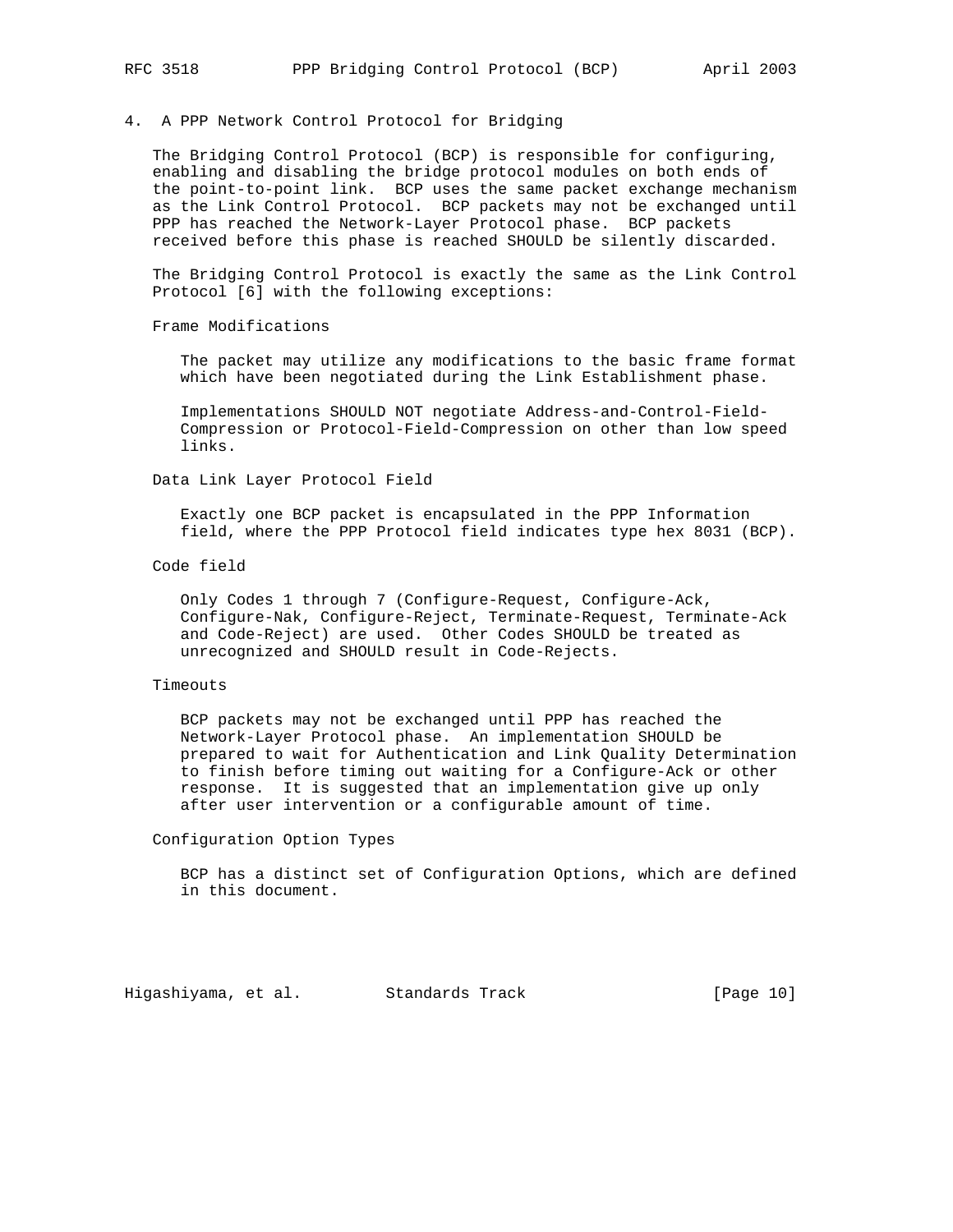## 4. A PPP Network Control Protocol for Bridging

 The Bridging Control Protocol (BCP) is responsible for configuring, enabling and disabling the bridge protocol modules on both ends of the point-to-point link. BCP uses the same packet exchange mechanism as the Link Control Protocol. BCP packets may not be exchanged until PPP has reached the Network-Layer Protocol phase. BCP packets received before this phase is reached SHOULD be silently discarded.

 The Bridging Control Protocol is exactly the same as the Link Control Protocol [6] with the following exceptions:

Frame Modifications

 The packet may utilize any modifications to the basic frame format which have been negotiated during the Link Establishment phase.

 Implementations SHOULD NOT negotiate Address-and-Control-Field- Compression or Protocol-Field-Compression on other than low speed links.

Data Link Layer Protocol Field

 Exactly one BCP packet is encapsulated in the PPP Information field, where the PPP Protocol field indicates type hex 8031 (BCP).

Code field

 Only Codes 1 through 7 (Configure-Request, Configure-Ack, Configure-Nak, Configure-Reject, Terminate-Request, Terminate-Ack and Code-Reject) are used. Other Codes SHOULD be treated as unrecognized and SHOULD result in Code-Rejects.

# Timeouts

 BCP packets may not be exchanged until PPP has reached the Network-Layer Protocol phase. An implementation SHOULD be prepared to wait for Authentication and Link Quality Determination to finish before timing out waiting for a Configure-Ack or other response. It is suggested that an implementation give up only after user intervention or a configurable amount of time.

Configuration Option Types

 BCP has a distinct set of Configuration Options, which are defined in this document.

Higashiyama, et al. Standards Track [Page 10]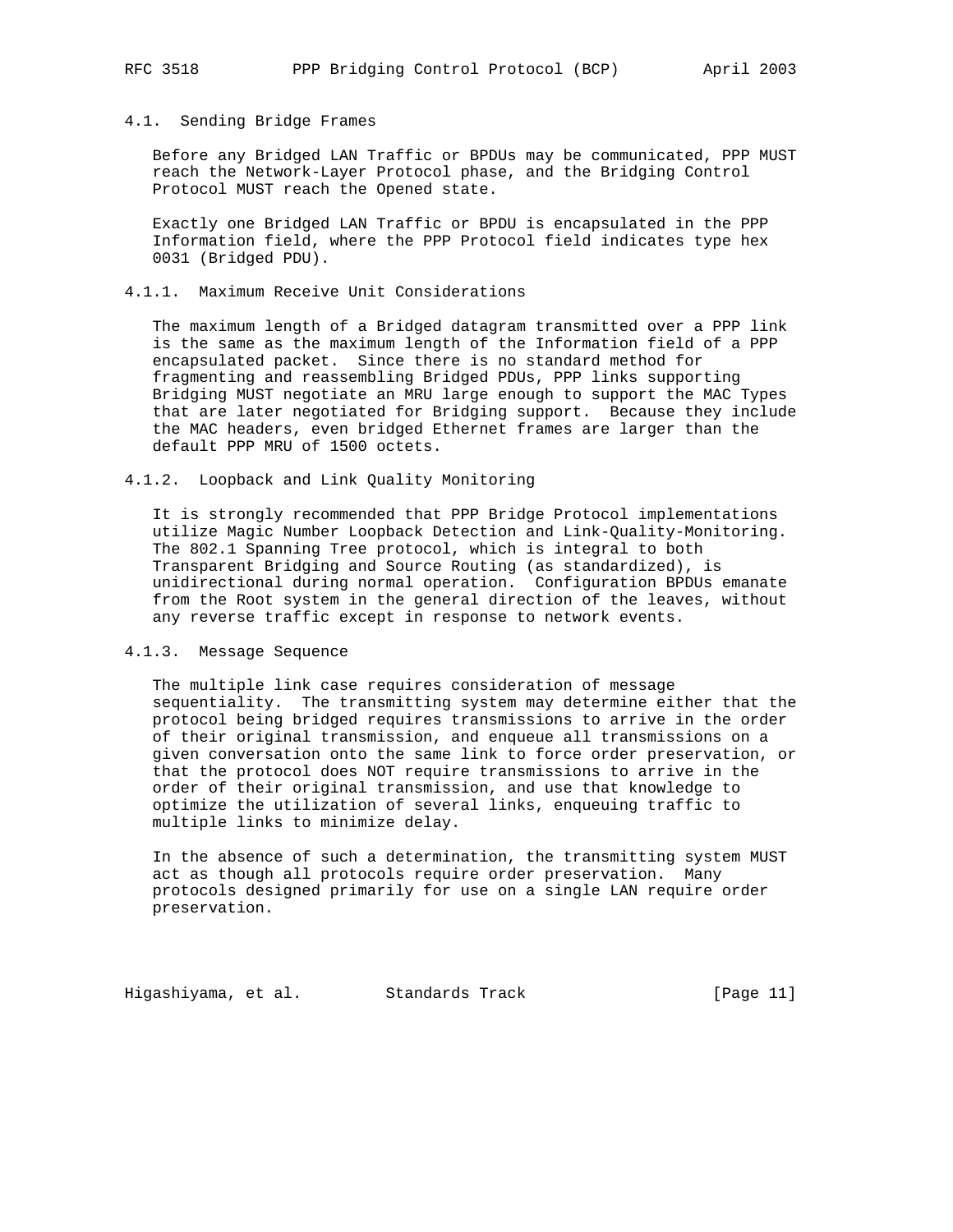# 4.1. Sending Bridge Frames

 Before any Bridged LAN Traffic or BPDUs may be communicated, PPP MUST reach the Network-Layer Protocol phase, and the Bridging Control Protocol MUST reach the Opened state.

 Exactly one Bridged LAN Traffic or BPDU is encapsulated in the PPP Information field, where the PPP Protocol field indicates type hex 0031 (Bridged PDU).

# 4.1.1. Maximum Receive Unit Considerations

 The maximum length of a Bridged datagram transmitted over a PPP link is the same as the maximum length of the Information field of a PPP encapsulated packet. Since there is no standard method for fragmenting and reassembling Bridged PDUs, PPP links supporting Bridging MUST negotiate an MRU large enough to support the MAC Types that are later negotiated for Bridging support. Because they include the MAC headers, even bridged Ethernet frames are larger than the default PPP MRU of 1500 octets.

# 4.1.2. Loopback and Link Quality Monitoring

 It is strongly recommended that PPP Bridge Protocol implementations utilize Magic Number Loopback Detection and Link-Quality-Monitoring. The 802.1 Spanning Tree protocol, which is integral to both Transparent Bridging and Source Routing (as standardized), is unidirectional during normal operation. Configuration BPDUs emanate from the Root system in the general direction of the leaves, without any reverse traffic except in response to network events.

# 4.1.3. Message Sequence

 The multiple link case requires consideration of message sequentiality. The transmitting system may determine either that the protocol being bridged requires transmissions to arrive in the order of their original transmission, and enqueue all transmissions on a given conversation onto the same link to force order preservation, or that the protocol does NOT require transmissions to arrive in the order of their original transmission, and use that knowledge to optimize the utilization of several links, enqueuing traffic to multiple links to minimize delay.

 In the absence of such a determination, the transmitting system MUST act as though all protocols require order preservation. Many protocols designed primarily for use on a single LAN require order preservation.

Higashiyama, et al. Standards Track [Page 11]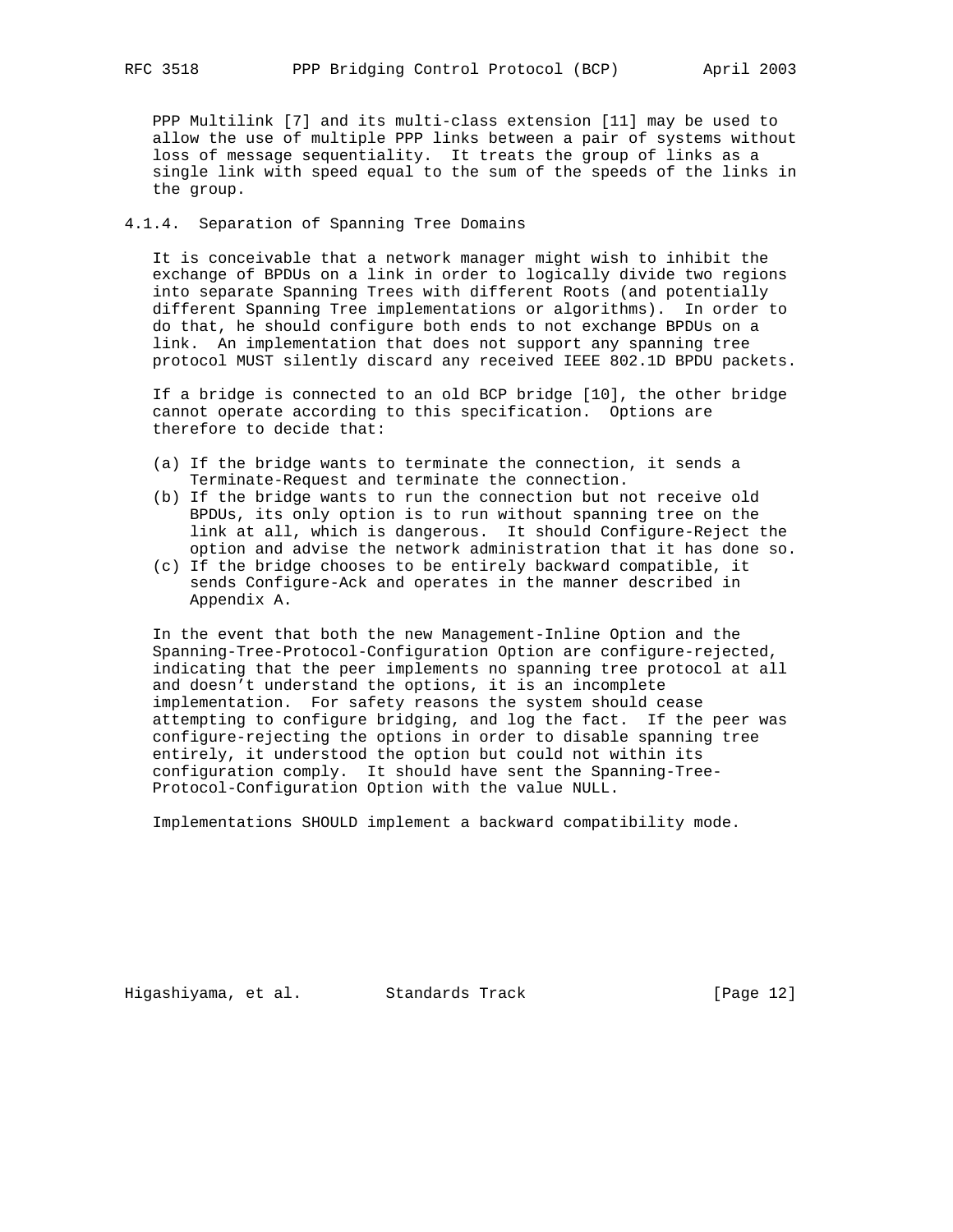PPP Multilink [7] and its multi-class extension [11] may be used to allow the use of multiple PPP links between a pair of systems without loss of message sequentiality. It treats the group of links as a single link with speed equal to the sum of the speeds of the links in the group.

# 4.1.4. Separation of Spanning Tree Domains

 It is conceivable that a network manager might wish to inhibit the exchange of BPDUs on a link in order to logically divide two regions into separate Spanning Trees with different Roots (and potentially different Spanning Tree implementations or algorithms). In order to do that, he should configure both ends to not exchange BPDUs on a link. An implementation that does not support any spanning tree protocol MUST silently discard any received IEEE 802.1D BPDU packets.

 If a bridge is connected to an old BCP bridge [10], the other bridge cannot operate according to this specification. Options are therefore to decide that:

- (a) If the bridge wants to terminate the connection, it sends a Terminate-Request and terminate the connection.
- (b) If the bridge wants to run the connection but not receive old BPDUs, its only option is to run without spanning tree on the link at all, which is dangerous. It should Configure-Reject the option and advise the network administration that it has done so.
- (c) If the bridge chooses to be entirely backward compatible, it sends Configure-Ack and operates in the manner described in Appendix A.

 In the event that both the new Management-Inline Option and the Spanning-Tree-Protocol-Configuration Option are configure-rejected, indicating that the peer implements no spanning tree protocol at all and doesn't understand the options, it is an incomplete implementation. For safety reasons the system should cease attempting to configure bridging, and log the fact. If the peer was configure-rejecting the options in order to disable spanning tree entirely, it understood the option but could not within its configuration comply. It should have sent the Spanning-Tree- Protocol-Configuration Option with the value NULL.

Implementations SHOULD implement a backward compatibility mode.

Higashiyama, et al. Standards Track [Page 12]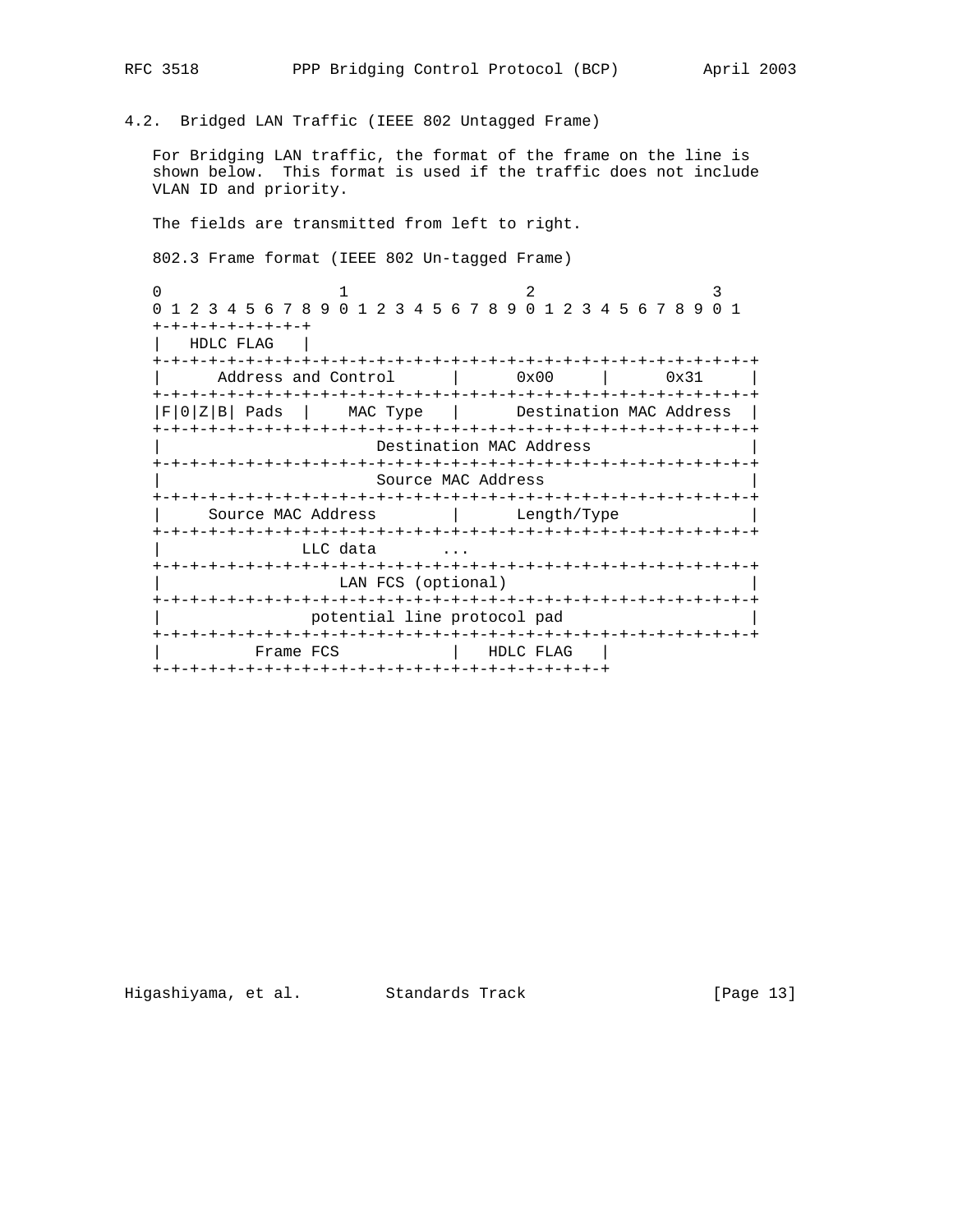# 4.2. Bridged LAN Traffic (IEEE 802 Untagged Frame)

 For Bridging LAN traffic, the format of the frame on the line is shown below. This format is used if the traffic does not include VLAN ID and priority.

The fields are transmitted from left to right.

802.3 Frame format (IEEE 802 Un-tagged Frame)

0  $1$  2 3 0 1 2 3 4 5 6 7 8 9 0 1 2 3 4 5 6 7 8 9 0 1 2 3 4 5 6 7 8 9 0 1 +-+-+-+-+-+-+-+-+ | HDLC FLAG | +-+-+-+-+-+-+-+-+-+-+-+-+-+-+-+-+-+-+-+-+-+-+-+-+-+-+-+-+-+-+-+-+ Address and Control | 0x00 | 0x31 | +-+-+-+-+-+-+-+-+-+-+-+-+-+-+-+-+-+-+-+-+-+-+-+-+-+-+-+-+-+-+-+-+ |F|0|Z|B| Pads | MAC Type | Destination MAC Address | +-+-+-+-+-+-+-+-+-+-+-+-+-+-+-+-+-+-+-+-+-+-+-+-+-+-+-+-+-+-+-+-+ Destination MAC Address +-+-+-+-+-+-+-+-+-+-+-+-+-+-+-+-+-+-+-+-+-+-+-+-+-+-+-+-+-+-+-+-+ Source MAC Address +-+-+-+-+-+-+-+-+-+-+-+-+-+-+-+-+-+-+-+-+-+-+-+-+-+-+-+-+-+-+-+-+ Source MAC Address | Length/Type +-+-+-+-+-+-+-+-+-+-+-+-+-+-+-+-+-+-+-+-+-+-+-+-+-+-+-+-+-+-+-+-+ LLC data ... +-+-+-+-+-+-+-+-+-+-+-+-+-+-+-+-+-+-+-+-+-+-+-+-+-+-+-+-+-+-+-+-+ LAN FCS (optional) +-+-+-+-+-+-+-+-+-+-+-+-+-+-+-+-+-+-+-+-+-+-+-+-+-+-+-+-+-+-+-+-+ potential line protocol pad +-+-+-+-+-+-+-+-+-+-+-+-+-+-+-+-+-+-+-+-+-+-+-+-+-+-+-+-+-+-+-+-+ Frame FCS | HDLC FLAG | +-+-+-+-+-+-+-+-+-+-+-+-+-+-+-+-+-+-+-+-+-+-+-+-+

Higashiyama, et al. Standards Track [Page 13]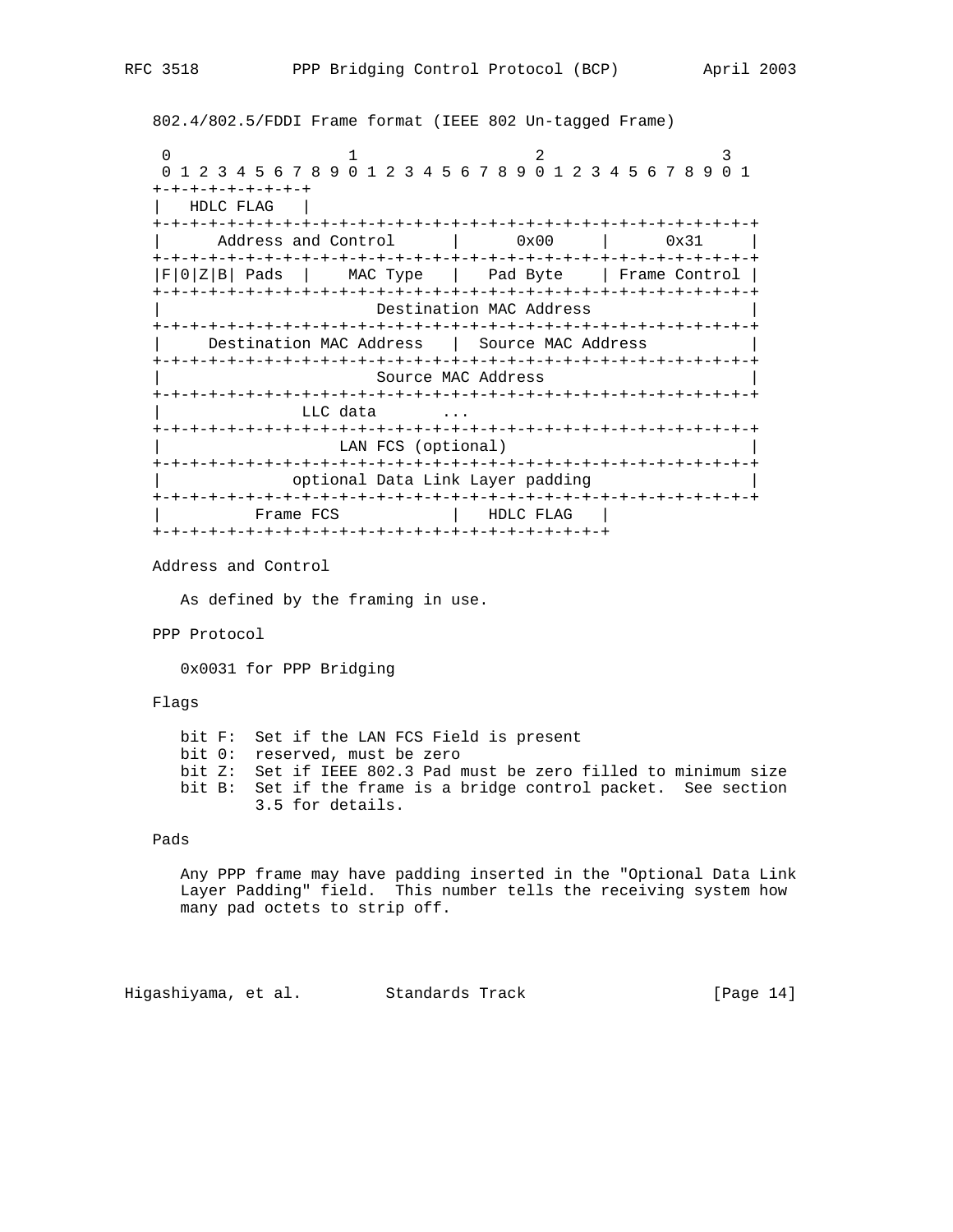802.4/802.5/FDDI Frame format (IEEE 802 Un-tagged Frame)

```
0 1 2 3
 0 1 2 3 4 5 6 7 8 9 0 1 2 3 4 5 6 7 8 9 0 1 2 3 4 5 6 7 8 9 0 1
   +-+-+-+-+-+-+-+-+
    | HDLC FLAG |
   +-+-+-+-+-+-+-+-+-+-+-+-+-+-+-+-+-+-+-+-+-+-+-+-+-+-+-+-+-+-+-+-+
       Address and Control | 0x00 | 0x31 | +-+-+-+-+-+-+-+-+-+-+-+-+-+-+-+-+-+-+-+-+-+-+-+-+-+-+-+-+-+-+-+-+
   |F|0|Z|B| Pads | MAC Type | Pad Byte | Frame Control |
   +-+-+-+-+-+-+-+-+-+-+-+-+-+-+-+-+-+-+-+-+-+-+-+-+-+-+-+-+-+-+-+-+
                       Destination MAC Address
   +-+-+-+-+-+-+-+-+-+-+-+-+-+-+-+-+-+-+-+-+-+-+-+-+-+-+-+-+-+-+-+-+
      Destination MAC Address | Source MAC Address
   +-+-+-+-+-+-+-+-+-+-+-+-+-+-+-+-+-+-+-+-+-+-+-+-+-+-+-+-+-+-+-+-+
                       Source MAC Address
   +-+-+-+-+-+-+-+-+-+-+-+-+-+-+-+-+-+-+-+-+-+-+-+-+-+-+-+-+-+-+-+-+
                | LLC data ...
   +-+-+-+-+-+-+-+-+-+-+-+-+-+-+-+-+-+-+-+-+-+-+-+-+-+-+-+-+-+-+-+-+
                   LAN FCS (optional)
   +-+-+-+-+-+-+-+-+-+-+-+-+-+-+-+-+-+-+-+-+-+-+-+-+-+-+-+-+-+-+-+-+
              optional Data Link Layer padding
   +-+-+-+-+-+-+-+-+-+-+-+-+-+-+-+-+-+-+-+-+-+-+-+-+-+-+-+-+-+-+-+-+
           Frame FCS | HDLC FLAG |
   +-+-+-+-+-+-+-+-+-+-+-+-+-+-+-+-+-+-+-+-+-+-+-+-+
```
#### Address and Control

As defined by the framing in use.

# PPP Protocol

0x0031 for PPP Bridging

#### Flags

 bit F: Set if the LAN FCS Field is present bit 0: reserved, must be zero bit Z: Set if IEEE 802.3 Pad must be zero filled to minimum size bit B: Set if the frame is a bridge control packet. See section 3.5 for details.

# Pads

 Any PPP frame may have padding inserted in the "Optional Data Link Layer Padding" field. This number tells the receiving system how many pad octets to strip off.

Higashiyama, et al. Standards Track [Page 14]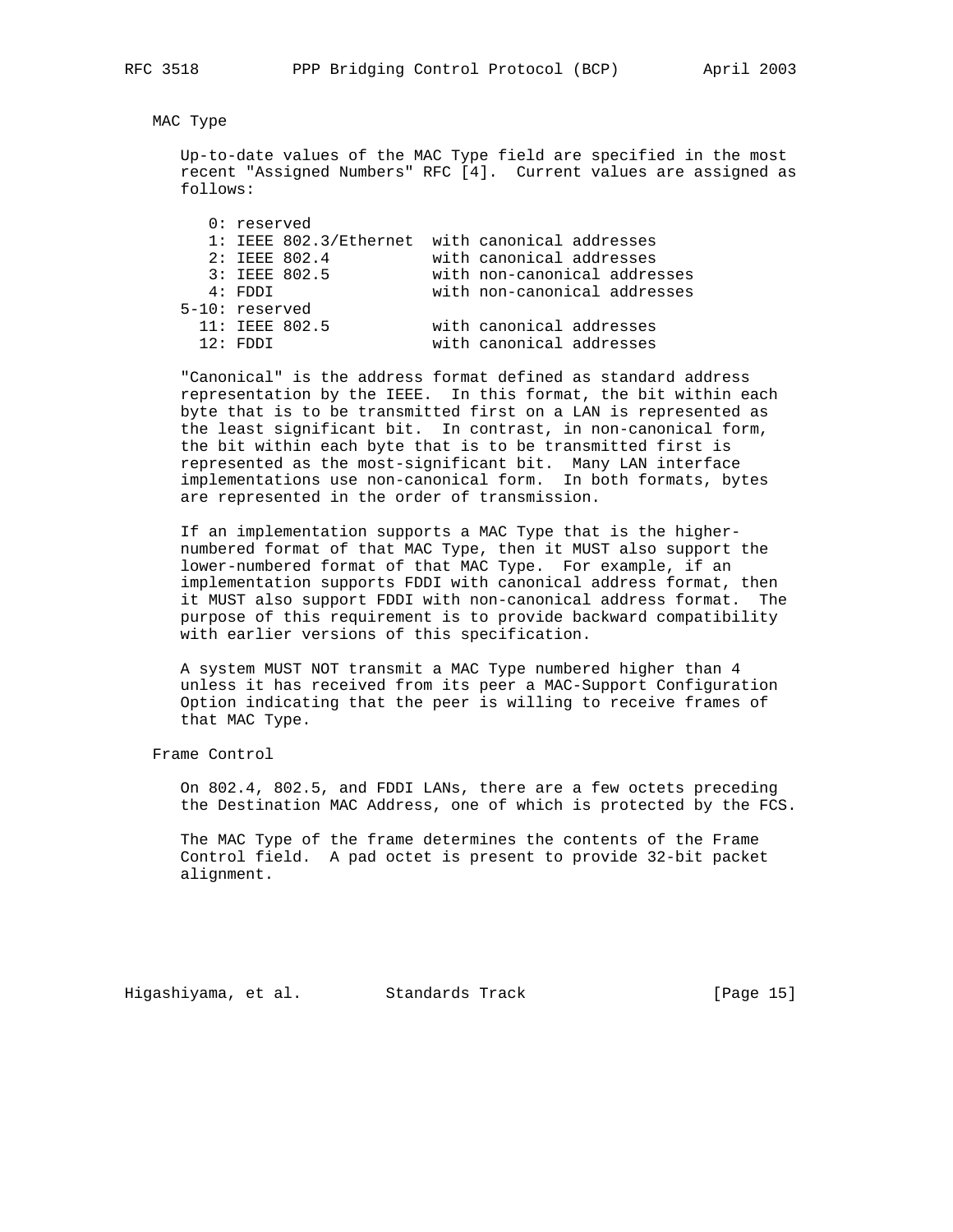MAC Type

 Up-to-date values of the MAC Type field are specified in the most recent "Assigned Numbers" RFC [4]. Current values are assigned as follows:

| $0:$ reserved                                   |                              |
|-------------------------------------------------|------------------------------|
| 1: IEEE 802.3/Ethernet with canonical addresses |                              |
| 2: IEEE 802.4                                   | with canonical addresses     |
| 3: IEEE 802.5                                   | with non-canonical addresses |
| 4: FDDT                                         | with non-canonical addresses |
| 5-10: reserved                                  |                              |
| 11: IEEE 802.5                                  | with canonical addresses     |
| 12: FDDT                                        | with canonical addresses     |
|                                                 |                              |

 "Canonical" is the address format defined as standard address representation by the IEEE. In this format, the bit within each byte that is to be transmitted first on a LAN is represented as the least significant bit. In contrast, in non-canonical form, the bit within each byte that is to be transmitted first is represented as the most-significant bit. Many LAN interface implementations use non-canonical form. In both formats, bytes are represented in the order of transmission.

 If an implementation supports a MAC Type that is the higher numbered format of that MAC Type, then it MUST also support the lower-numbered format of that MAC Type. For example, if an implementation supports FDDI with canonical address format, then it MUST also support FDDI with non-canonical address format. The purpose of this requirement is to provide backward compatibility with earlier versions of this specification.

 A system MUST NOT transmit a MAC Type numbered higher than 4 unless it has received from its peer a MAC-Support Configuration Option indicating that the peer is willing to receive frames of that MAC Type.

Frame Control

 On 802.4, 802.5, and FDDI LANs, there are a few octets preceding the Destination MAC Address, one of which is protected by the FCS.

 The MAC Type of the frame determines the contents of the Frame Control field. A pad octet is present to provide 32-bit packet alignment.

Higashiyama, et al. Standards Track [Page 15]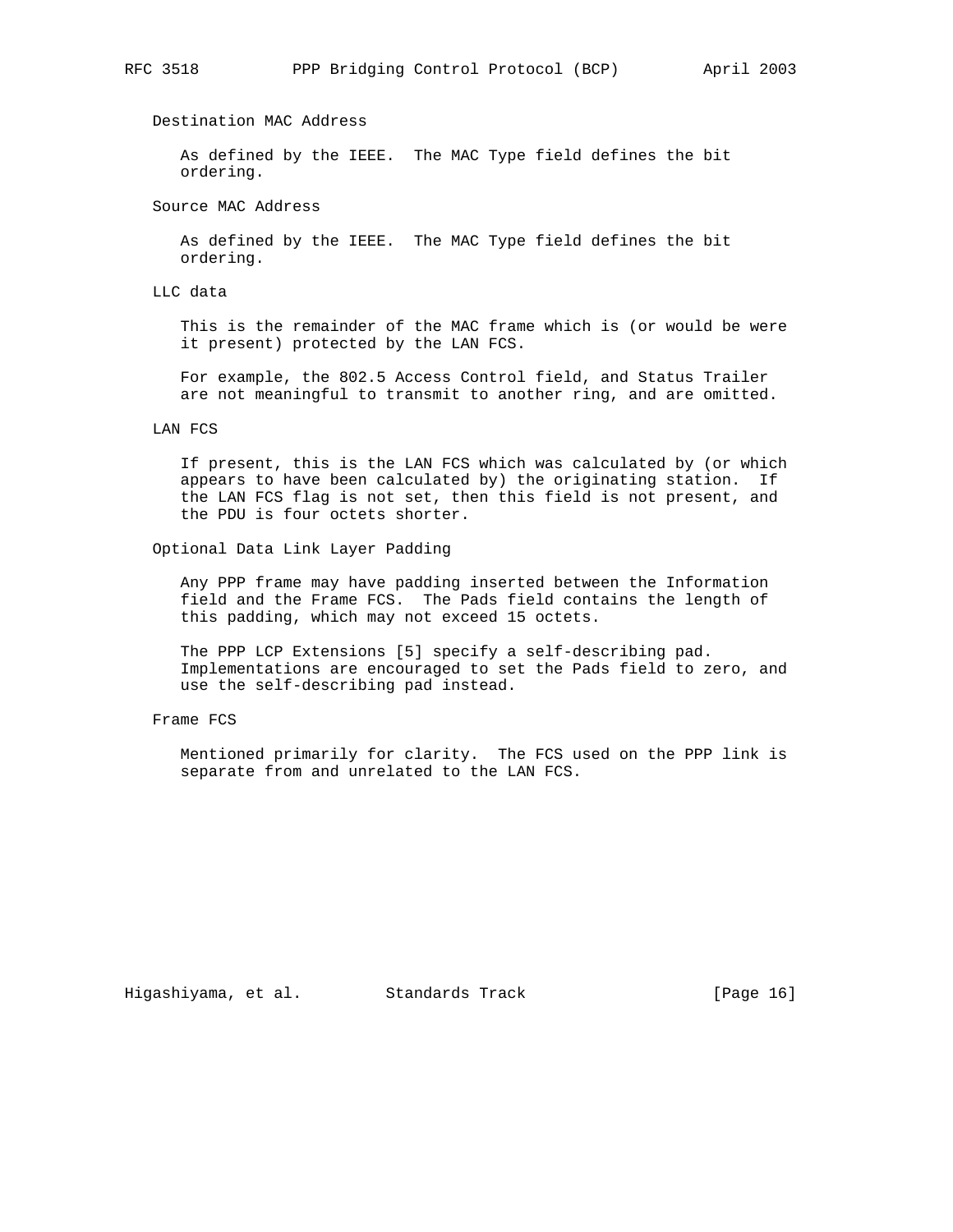Destination MAC Address

 As defined by the IEEE. The MAC Type field defines the bit ordering.

Source MAC Address

 As defined by the IEEE. The MAC Type field defines the bit ordering.

LLC data

 This is the remainder of the MAC frame which is (or would be were it present) protected by the LAN FCS.

 For example, the 802.5 Access Control field, and Status Trailer are not meaningful to transmit to another ring, and are omitted.

## LAN FCS

 If present, this is the LAN FCS which was calculated by (or which appears to have been calculated by) the originating station. If the LAN FCS flag is not set, then this field is not present, and the PDU is four octets shorter.

Optional Data Link Layer Padding

 Any PPP frame may have padding inserted between the Information field and the Frame FCS. The Pads field contains the length of this padding, which may not exceed 15 octets.

 The PPP LCP Extensions [5] specify a self-describing pad. Implementations are encouraged to set the Pads field to zero, and use the self-describing pad instead.

Frame FCS

 Mentioned primarily for clarity. The FCS used on the PPP link is separate from and unrelated to the LAN FCS.

Higashiyama, et al. Standards Track [Page 16]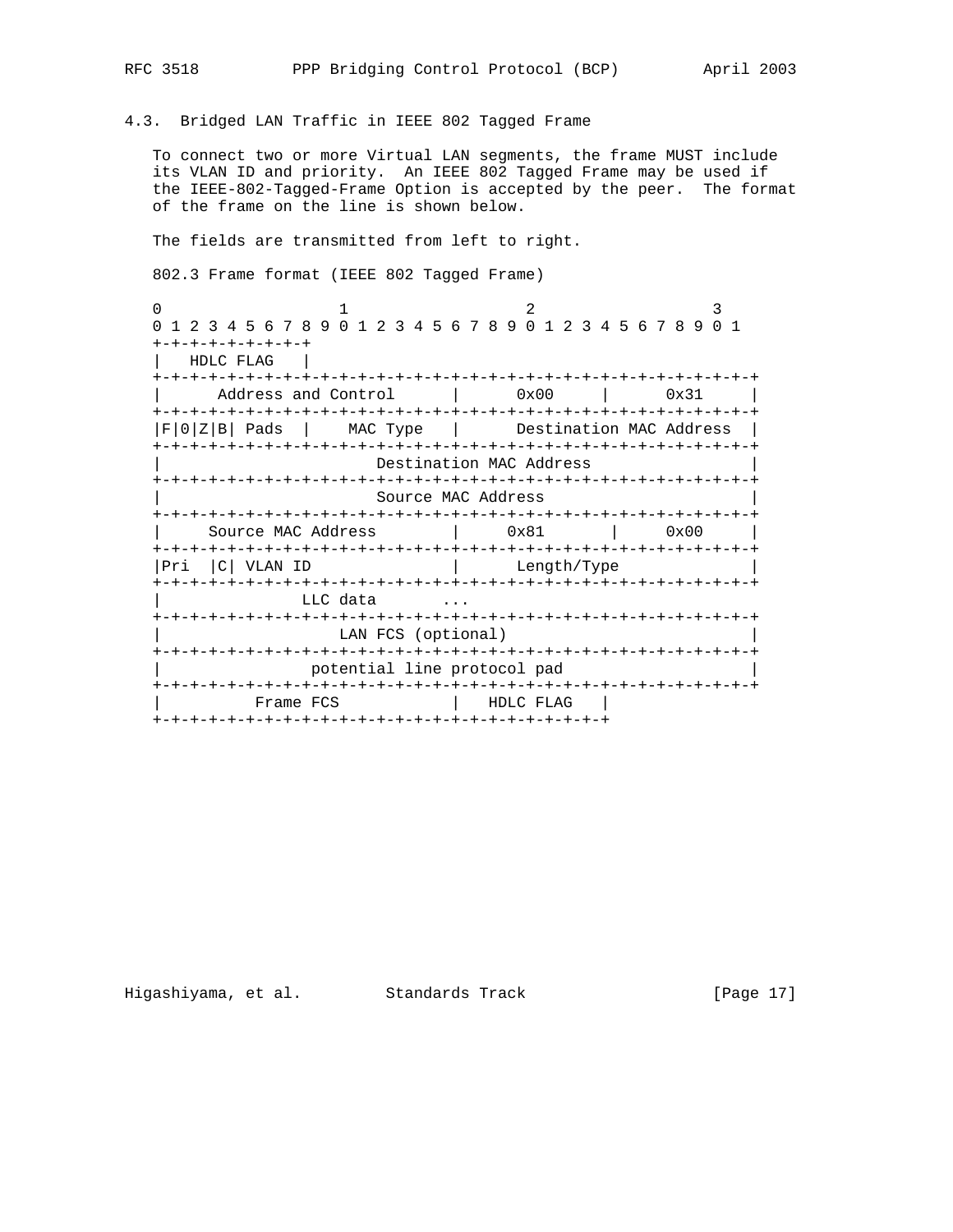# 4.3. Bridged LAN Traffic in IEEE 802 Tagged Frame

 To connect two or more Virtual LAN segments, the frame MUST include its VLAN ID and priority. An IEEE 802 Tagged Frame may be used if the IEEE-802-Tagged-Frame Option is accepted by the peer. The format of the frame on the line is shown below.

The fields are transmitted from left to right.

802.3 Frame format (IEEE 802 Tagged Frame)

| 1 2 3 4 5 6 7 8 9 0 1 2 3 4 5 6 7 8 9 0 1 2 3 4 5 6 7 8 9 | 0 <sub>1</sub>                 |  |  |  |  |  |  |  |  |  |  |  |  |  |
|-----------------------------------------------------------|--------------------------------|--|--|--|--|--|--|--|--|--|--|--|--|--|
| +-+-+-+-+-+-+-+                                           |                                |  |  |  |  |  |  |  |  |  |  |  |  |  |
| HDLC FLAG                                                 |                                |  |  |  |  |  |  |  |  |  |  |  |  |  |
|                                                           | -+-+-+-+-+-+-+-+-+-+           |  |  |  |  |  |  |  |  |  |  |  |  |  |
| Address and Control                                       | $0 \times 00$<br>$0 \times 31$ |  |  |  |  |  |  |  |  |  |  |  |  |  |
|                                                           |                                |  |  |  |  |  |  |  |  |  |  |  |  |  |
| F[0 Z B]<br>Pads<br>MAC Type                              | Destination MAC Address        |  |  |  |  |  |  |  |  |  |  |  |  |  |
|                                                           |                                |  |  |  |  |  |  |  |  |  |  |  |  |  |
| Destination MAC Address                                   |                                |  |  |  |  |  |  |  |  |  |  |  |  |  |
|                                                           |                                |  |  |  |  |  |  |  |  |  |  |  |  |  |
| Source MAC Address                                        |                                |  |  |  |  |  |  |  |  |  |  |  |  |  |
| Source MAC Address                                        | $0 \times 81$<br>$0 \times 00$ |  |  |  |  |  |  |  |  |  |  |  |  |  |
|                                                           |                                |  |  |  |  |  |  |  |  |  |  |  |  |  |
| $\vert$ C $\vert$<br>Pri<br>VLAN ID                       | Length/Type                    |  |  |  |  |  |  |  |  |  |  |  |  |  |
|                                                           |                                |  |  |  |  |  |  |  |  |  |  |  |  |  |
| LLC data                                                  |                                |  |  |  |  |  |  |  |  |  |  |  |  |  |
|                                                           |                                |  |  |  |  |  |  |  |  |  |  |  |  |  |
| LAN FCS (optional)                                        |                                |  |  |  |  |  |  |  |  |  |  |  |  |  |
|                                                           |                                |  |  |  |  |  |  |  |  |  |  |  |  |  |
| potential line protocol pad                               |                                |  |  |  |  |  |  |  |  |  |  |  |  |  |
|                                                           |                                |  |  |  |  |  |  |  |  |  |  |  |  |  |
| Frame FCS                                                 | HDLC FLAG                      |  |  |  |  |  |  |  |  |  |  |  |  |  |
|                                                           |                                |  |  |  |  |  |  |  |  |  |  |  |  |  |

Higashiyama, et al. Standards Track (Page 17)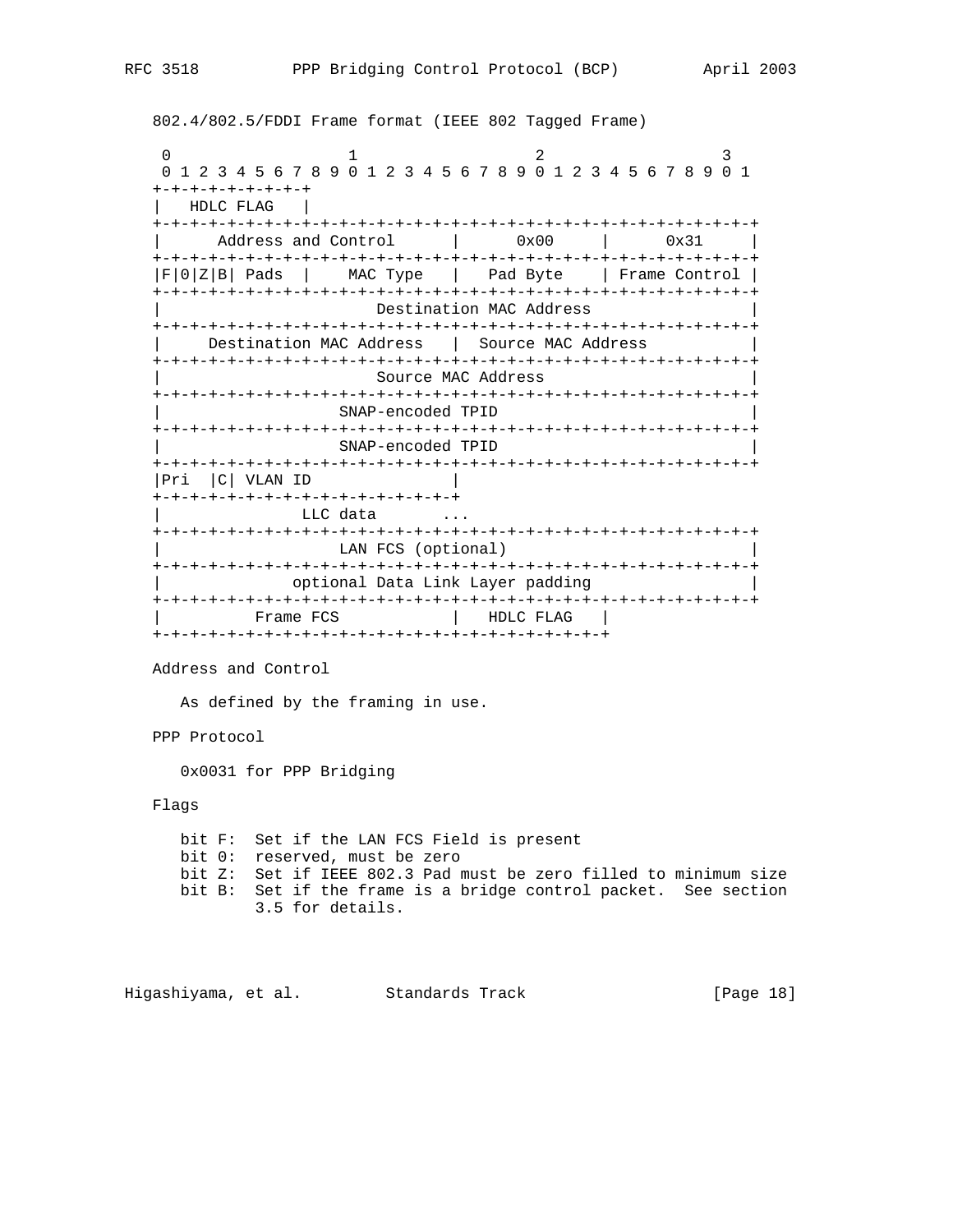```
 802.4/802.5/FDDI Frame format (IEEE 802 Tagged Frame)
```

```
0 1 2 3
 0 1 2 3 4 5 6 7 8 9 0 1 2 3 4 5 6 7 8 9 0 1 2 3 4 5 6 7 8 9 0 1
   +-+-+-+-+-+-+-+-+
    | HDLC FLAG |
   +-+-+-+-+-+-+-+-+-+-+-+-+-+-+-+-+-+-+-+-+-+-+-+-+-+-+-+-+-+-+-+-+
       Address and Control | 0x00 | 0x31 |
   +-+-+-+-+-+-+-+-+-+-+-+-+-+-+-+-+-+-+-+-+-+-+-+-+-+-+-+-+-+-+-+-+
   |F|0|Z|B| Pads | MAC Type | Pad Byte | Frame Control |
   +-+-+-+-+-+-+-+-+-+-+-+-+-+-+-+-+-+-+-+-+-+-+-+-+-+-+-+-+-+-+-+-+
                       Destination MAC Address
   +-+-+-+-+-+-+-+-+-+-+-+-+-+-+-+-+-+-+-+-+-+-+-+-+-+-+-+-+-+-+-+-+
      Destination MAC Address | Source MAC Address
   +-+-+-+-+-+-+-+-+-+-+-+-+-+-+-+-+-+-+-+-+-+-+-+-+-+-+-+-+-+-+-+-+
                        Source MAC Address
   +-+-+-+-+-+-+-+-+-+-+-+-+-+-+-+-+-+-+-+-+-+-+-+-+-+-+-+-+-+-+-+-+
                     | SNAP-encoded TPID |
   +-+-+-+-+-+-+-+-+-+-+-+-+-+-+-+-+-+-+-+-+-+-+-+-+-+-+-+-+-+-+-+-+
                     | SNAP-encoded TPID |
   +-+-+-+-+-+-+-+-+-+-+-+-+-+-+-+-+-+-+-+-+-+-+-+-+-+-+-+-+-+-+-+-+
   |Pri |C| VLAN ID |
   +-+-+-+-+-+-+-+-+-+-+-+-+-+-+-+-+
                LLC data ...
   +-+-+-+-+-+-+-+-+-+-+-+-+-+-+-+-+-+-+-+-+-+-+-+-+-+-+-+-+-+-+-+-+
                    LAN FCS (optional)
   +-+-+-+-+-+-+-+-+-+-+-+-+-+-+-+-+-+-+-+-+-+-+-+-+-+-+-+-+-+-+-+-+
               optional Data Link Layer padding
   +-+-+-+-+-+-+-+-+-+-+-+-+-+-+-+-+-+-+-+-+-+-+-+-+-+-+-+-+-+-+-+-+
           Frame FCS | HDLC FLAG |
   +-+-+-+-+-+-+-+-+-+-+-+-+-+-+-+-+-+-+-+-+-+-+-+-+
```
Address and Control

As defined by the framing in use.

PPP Protocol

0x0031 for PPP Bridging

## Flags

 bit F: Set if the LAN FCS Field is present bit 0: reserved, must be zero bit Z: Set if IEEE 802.3 Pad must be zero filled to minimum size bit B: Set if the frame is a bridge control packet. See section 3.5 for details.

Higashiyama, et al. Standards Track [Page 18]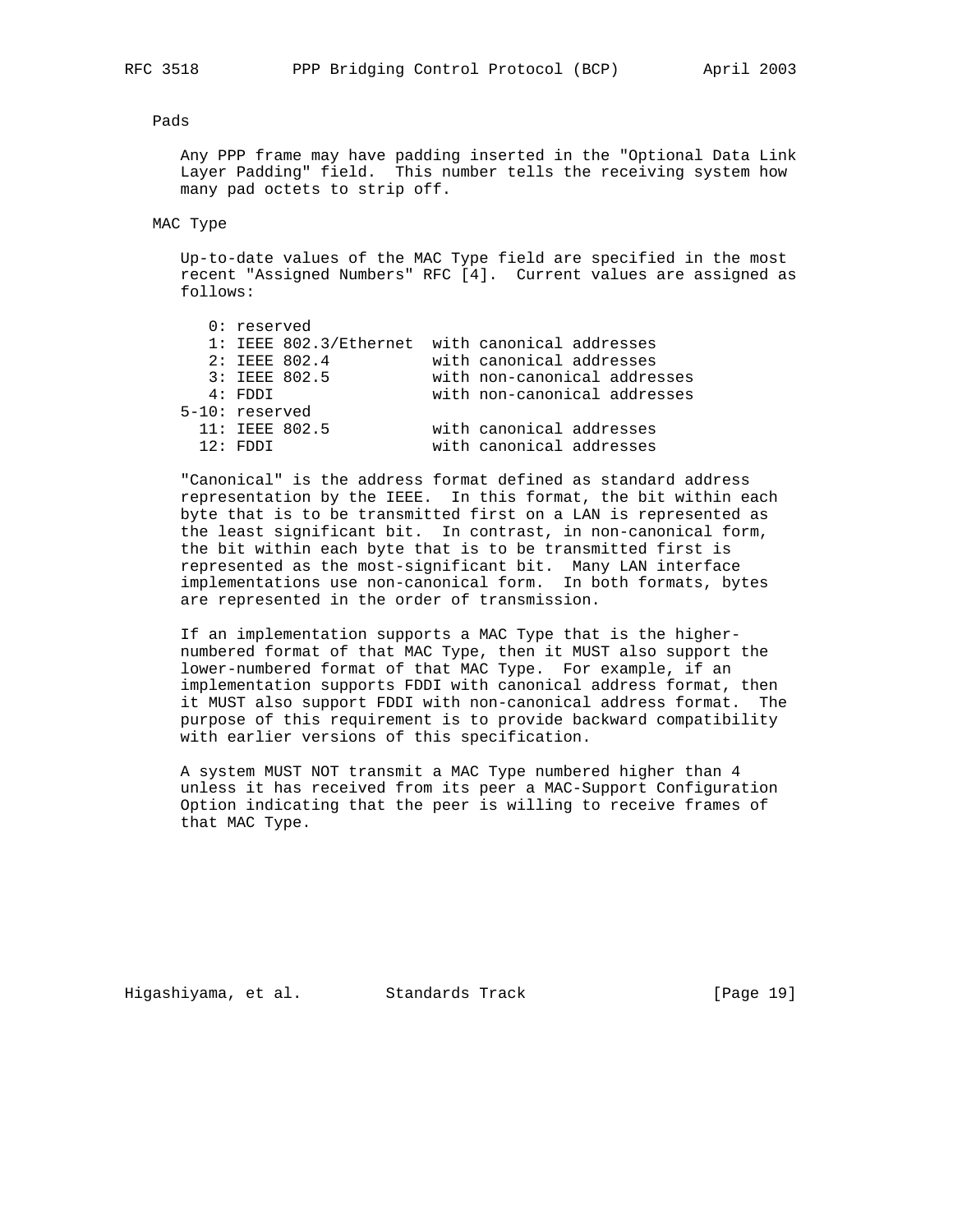#### Pads

 Any PPP frame may have padding inserted in the "Optional Data Link Layer Padding" field. This number tells the receiving system how many pad octets to strip off.

#### MAC Type

 Up-to-date values of the MAC Type field are specified in the most recent "Assigned Numbers" RFC [4]. Current values are assigned as follows:

| $0:$ reserved                                   |                              |  |
|-------------------------------------------------|------------------------------|--|
| 1: IEEE 802.3/Ethernet with canonical addresses |                              |  |
| 2: IEEE 802.4                                   | with canonical addresses     |  |
| 3: IEEE 802.5                                   | with non-canonical addresses |  |
| 4: FDDT                                         | with non-canonical addresses |  |
| $5-10:$ reserved                                |                              |  |
| 11: IEEE 802.5                                  | with canonical addresses     |  |
| דחחד: 12:                                       | with canonical addresses     |  |
|                                                 |                              |  |

 "Canonical" is the address format defined as standard address representation by the IEEE. In this format, the bit within each byte that is to be transmitted first on a LAN is represented as the least significant bit. In contrast, in non-canonical form, the bit within each byte that is to be transmitted first is represented as the most-significant bit. Many LAN interface implementations use non-canonical form. In both formats, bytes are represented in the order of transmission.

 If an implementation supports a MAC Type that is the higher numbered format of that MAC Type, then it MUST also support the lower-numbered format of that MAC Type. For example, if an implementation supports FDDI with canonical address format, then it MUST also support FDDI with non-canonical address format. The purpose of this requirement is to provide backward compatibility with earlier versions of this specification.

 A system MUST NOT transmit a MAC Type numbered higher than 4 unless it has received from its peer a MAC-Support Configuration Option indicating that the peer is willing to receive frames of that MAC Type.

Higashiyama, et al. Standards Track [Page 19]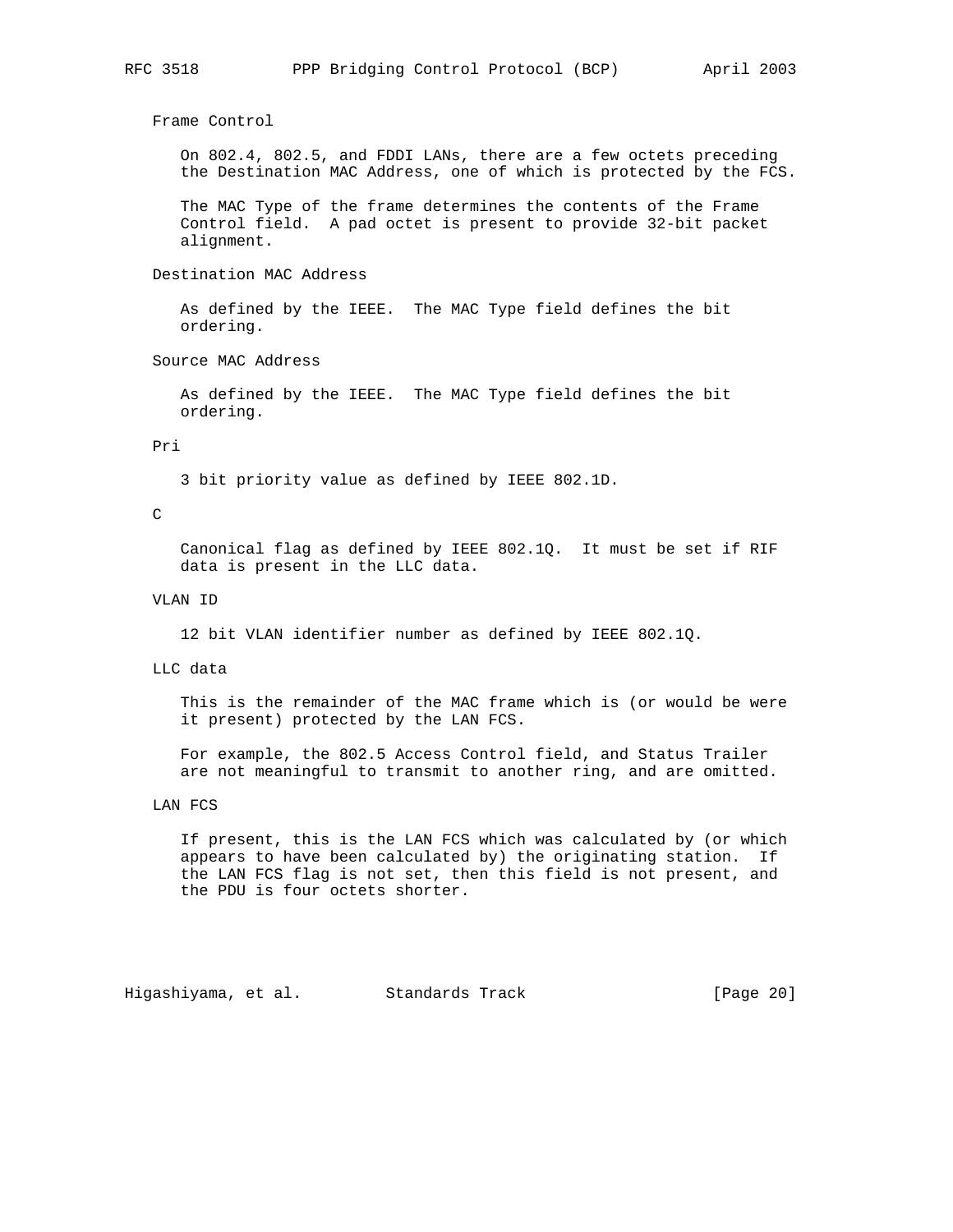Frame Control

 On 802.4, 802.5, and FDDI LANs, there are a few octets preceding the Destination MAC Address, one of which is protected by the FCS.

 The MAC Type of the frame determines the contents of the Frame Control field. A pad octet is present to provide 32-bit packet alignment.

Destination MAC Address

 As defined by the IEEE. The MAC Type field defines the bit ordering.

Source MAC Address

 As defined by the IEEE. The MAC Type field defines the bit ordering.

### Pri

3 bit priority value as defined by IEEE 802.1D.

# $\mathcal{C}$

 Canonical flag as defined by IEEE 802.1Q. It must be set if RIF data is present in the LLC data.

# VLAN ID

12 bit VLAN identifier number as defined by IEEE 802.1Q.

#### LLC data

 This is the remainder of the MAC frame which is (or would be were it present) protected by the LAN FCS.

 For example, the 802.5 Access Control field, and Status Trailer are not meaningful to transmit to another ring, and are omitted.

#### LAN FCS

 If present, this is the LAN FCS which was calculated by (or which appears to have been calculated by) the originating station. If the LAN FCS flag is not set, then this field is not present, and the PDU is four octets shorter.

Higashiyama, et al. Standards Track [Page 20]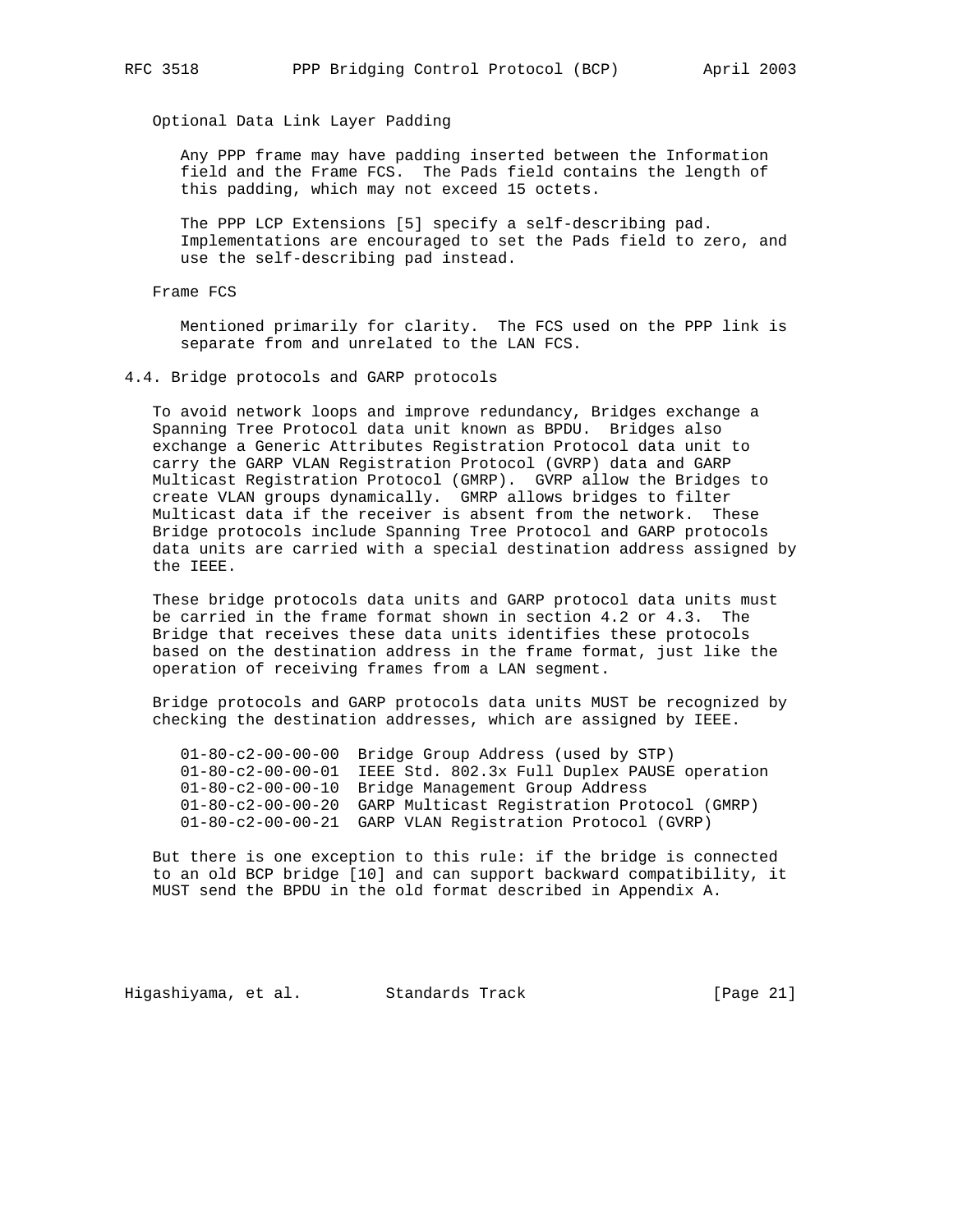## Optional Data Link Layer Padding

 Any PPP frame may have padding inserted between the Information field and the Frame FCS. The Pads field contains the length of this padding, which may not exceed 15 octets.

 The PPP LCP Extensions [5] specify a self-describing pad. Implementations are encouraged to set the Pads field to zero, and use the self-describing pad instead.

#### Frame FCS

 Mentioned primarily for clarity. The FCS used on the PPP link is separate from and unrelated to the LAN FCS.

#### 4.4. Bridge protocols and GARP protocols

 To avoid network loops and improve redundancy, Bridges exchange a Spanning Tree Protocol data unit known as BPDU. Bridges also exchange a Generic Attributes Registration Protocol data unit to carry the GARP VLAN Registration Protocol (GVRP) data and GARP Multicast Registration Protocol (GMRP). GVRP allow the Bridges to create VLAN groups dynamically. GMRP allows bridges to filter Multicast data if the receiver is absent from the network. These Bridge protocols include Spanning Tree Protocol and GARP protocols data units are carried with a special destination address assigned by the IEEE.

 These bridge protocols data units and GARP protocol data units must be carried in the frame format shown in section 4.2 or 4.3. The Bridge that receives these data units identifies these protocols based on the destination address in the frame format, just like the operation of receiving frames from a LAN segment.

 Bridge protocols and GARP protocols data units MUST be recognized by checking the destination addresses, which are assigned by IEEE.

 01-80-c2-00-00-00 Bridge Group Address (used by STP) 01-80-c2-00-00-01 IEEE Std. 802.3x Full Duplex PAUSE operation 01-80-c2-00-00-10 Bridge Management Group Address 01-80-c2-00-00-20 GARP Multicast Registration Protocol (GMRP) 01-80-c2-00-00-21 GARP VLAN Registration Protocol (GVRP)

 But there is one exception to this rule: if the bridge is connected to an old BCP bridge [10] and can support backward compatibility, it MUST send the BPDU in the old format described in Appendix A.

Higashiyama, et al. Standards Track [Page 21]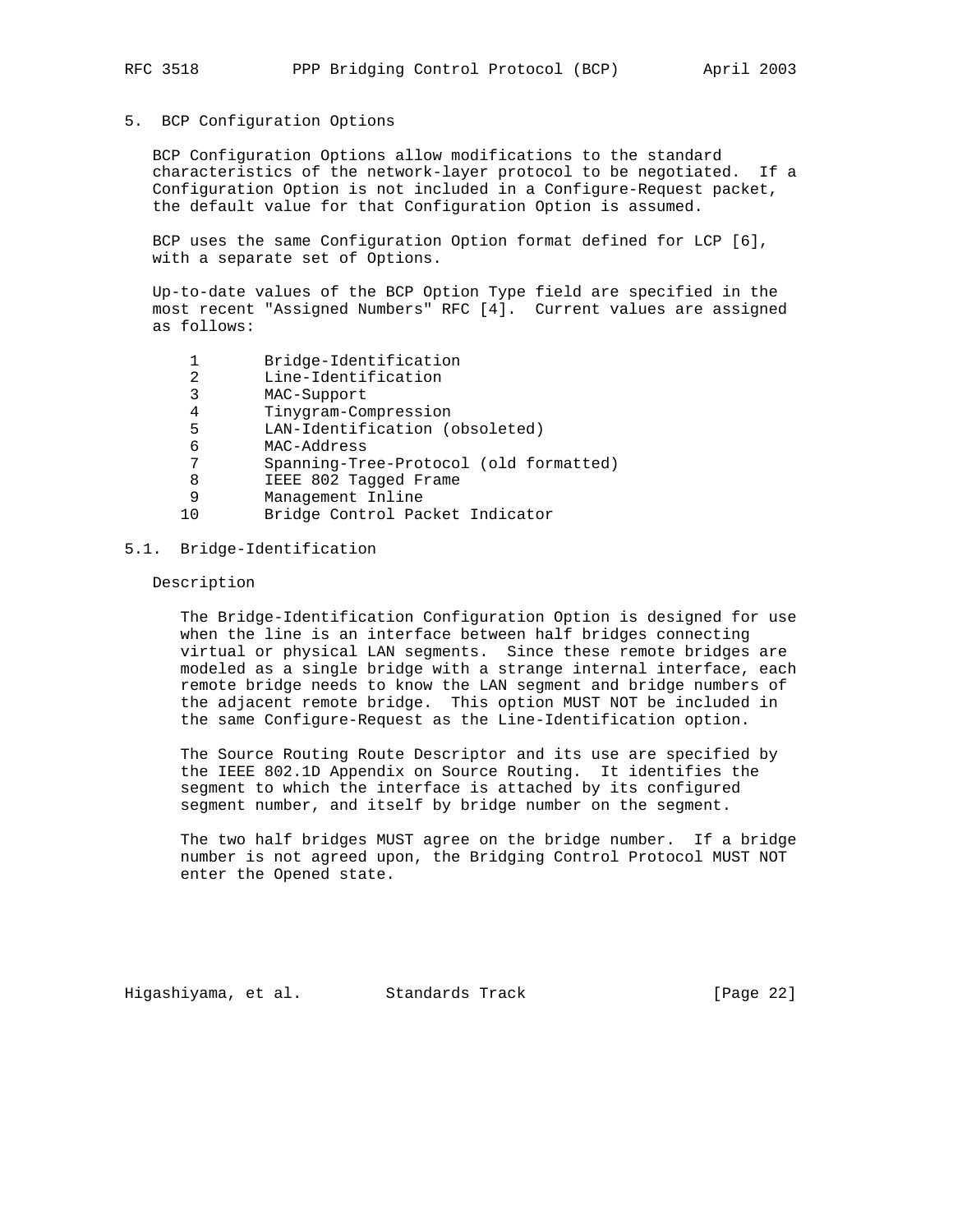## 5. BCP Configuration Options

 BCP Configuration Options allow modifications to the standard characteristics of the network-layer protocol to be negotiated. If a Configuration Option is not included in a Configure-Request packet, the default value for that Configuration Option is assumed.

 BCP uses the same Configuration Option format defined for LCP [6], with a separate set of Options.

 Up-to-date values of the BCP Option Type field are specified in the most recent "Assigned Numbers" RFC [4]. Current values are assigned as follows:

- 1 Bridge-Identification
- 2 Line-Identification
- 3 MAC-Support
- 4 Tinygram-Compression
- LAN-Identification (obsoleted)
- 6 MAC-Address
- 7 Spanning-Tree-Protocol (old formatted)
- 8 IEEE 802 Tagged Frame
- 9 Management Inline
- 10 Bridge Control Packet Indicator

# 5.1. Bridge-Identification

## Description

 The Bridge-Identification Configuration Option is designed for use when the line is an interface between half bridges connecting virtual or physical LAN segments. Since these remote bridges are modeled as a single bridge with a strange internal interface, each remote bridge needs to know the LAN segment and bridge numbers of the adjacent remote bridge. This option MUST NOT be included in the same Configure-Request as the Line-Identification option.

 The Source Routing Route Descriptor and its use are specified by the IEEE 802.1D Appendix on Source Routing. It identifies the segment to which the interface is attached by its configured segment number, and itself by bridge number on the segment.

 The two half bridges MUST agree on the bridge number. If a bridge number is not agreed upon, the Bridging Control Protocol MUST NOT enter the Opened state.

Higashiyama, et al. Standards Track [Page 22]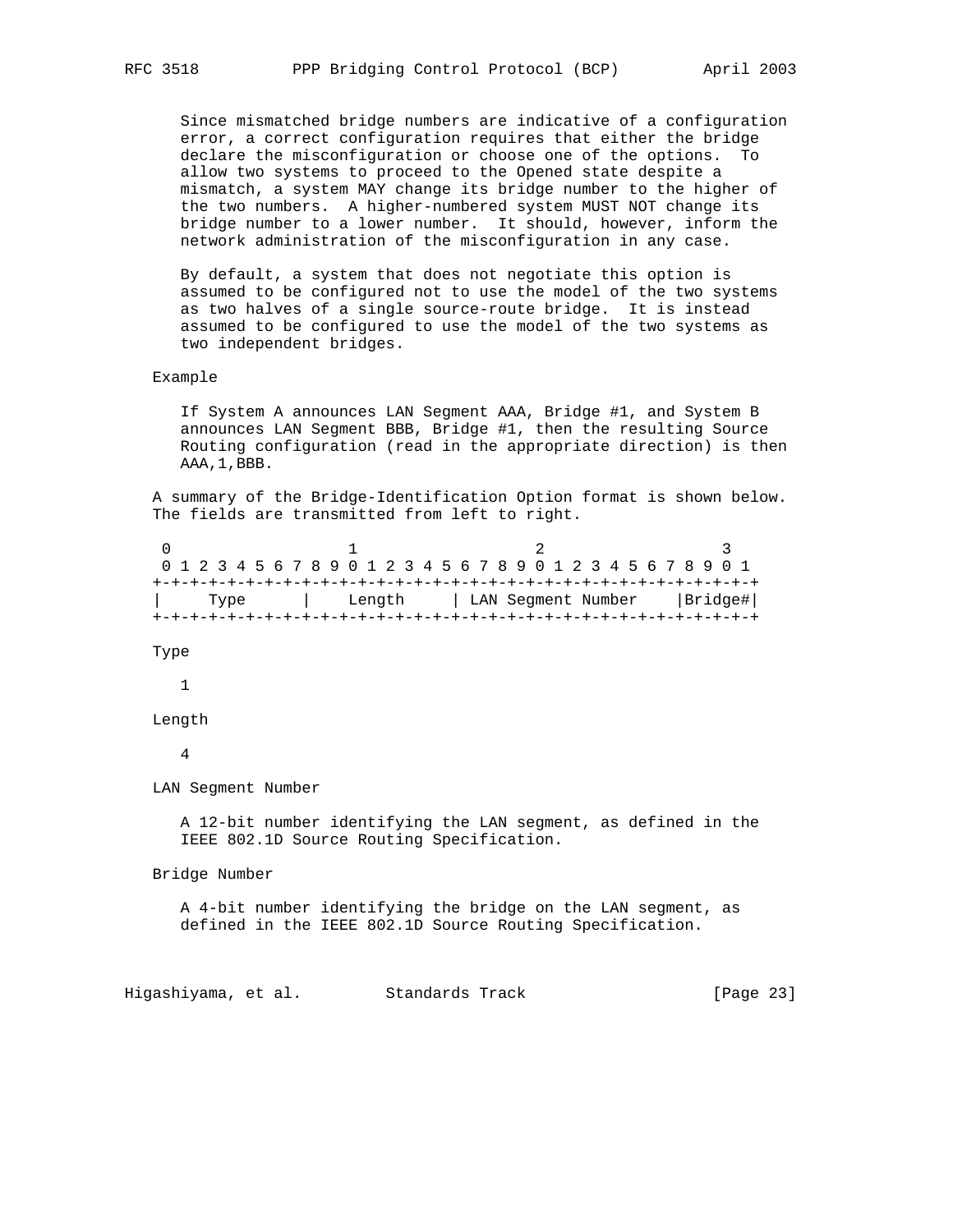Since mismatched bridge numbers are indicative of a configuration error, a correct configuration requires that either the bridge declare the misconfiguration or choose one of the options. To allow two systems to proceed to the Opened state despite a mismatch, a system MAY change its bridge number to the higher of the two numbers. A higher-numbered system MUST NOT change its bridge number to a lower number. It should, however, inform the network administration of the misconfiguration in any case.

 By default, a system that does not negotiate this option is assumed to be configured not to use the model of the two systems as two halves of a single source-route bridge. It is instead assumed to be configured to use the model of the two systems as two independent bridges.

#### Example

 If System A announces LAN Segment AAA, Bridge #1, and System B announces LAN Segment BBB, Bridge #1, then the resulting Source Routing configuration (read in the appropriate direction) is then AAA,1,BBB.

 A summary of the Bridge-Identification Option format is shown below. The fields are transmitted from left to right.

0  $1$  2 3 0 1 2 3 4 5 6 7 8 9 0 1 2 3 4 5 6 7 8 9 0 1 2 3 4 5 6 7 8 9 0 1 +-+-+-+-+-+-+-+-+-+-+-+-+-+-+-+-+-+-+-+-+-+-+-+-+-+-+-+-+-+-+-+-+ | Type | Length | LAN Segment Number |Bridge#| +-+-+-+-+-+-+-+-+-+-+-+-+-+-+-+-+-+-+-+-+-+-+-+-+-+-+-+-+-+-+-+-+

Type

1

## Length

## 4

LAN Segment Number

 A 12-bit number identifying the LAN segment, as defined in the IEEE 802.1D Source Routing Specification.

Bridge Number

 A 4-bit number identifying the bridge on the LAN segment, as defined in the IEEE 802.1D Source Routing Specification.

Higashiyama, et al. Standards Track [Page 23]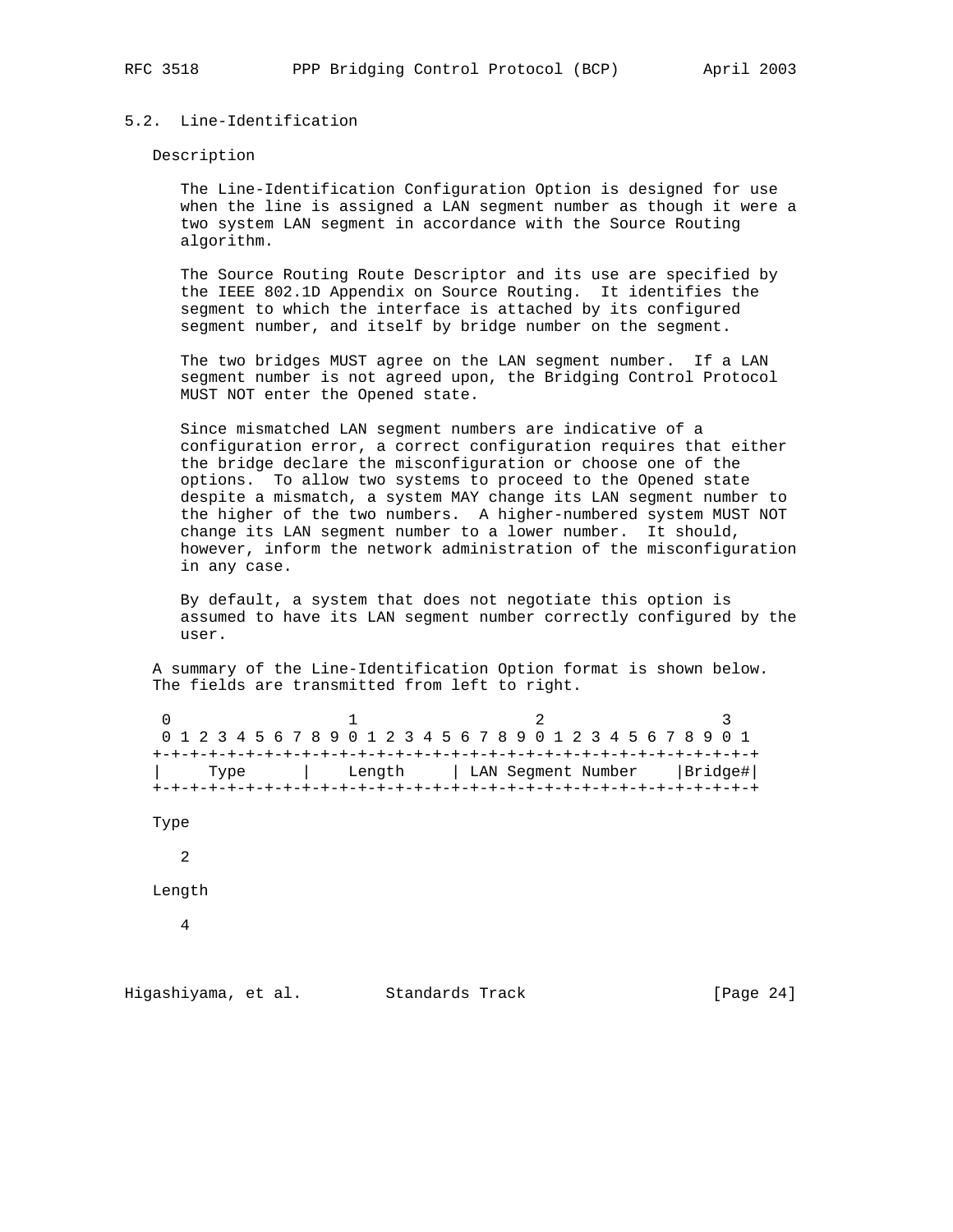# 5.2. Line-Identification

#### Description

 The Line-Identification Configuration Option is designed for use when the line is assigned a LAN segment number as though it were a two system LAN segment in accordance with the Source Routing algorithm.

 The Source Routing Route Descriptor and its use are specified by the IEEE 802.1D Appendix on Source Routing. It identifies the segment to which the interface is attached by its configured segment number, and itself by bridge number on the segment.

 The two bridges MUST agree on the LAN segment number. If a LAN segment number is not agreed upon, the Bridging Control Protocol MUST NOT enter the Opened state.

 Since mismatched LAN segment numbers are indicative of a configuration error, a correct configuration requires that either the bridge declare the misconfiguration or choose one of the options. To allow two systems to proceed to the Opened state despite a mismatch, a system MAY change its LAN segment number to the higher of the two numbers. A higher-numbered system MUST NOT change its LAN segment number to a lower number. It should, however, inform the network administration of the misconfiguration in any case.

 By default, a system that does not negotiate this option is assumed to have its LAN segment number correctly configured by the user.

 A summary of the Line-Identification Option format is shown below. The fields are transmitted from left to right.

|      | 0 1 2 3 4 5 6 7 8 9 0 1 2 3 4 5 6 7 8 9 0 1 2 3 4 5 6 7 8 9 0 1 |  |
|------|-----------------------------------------------------------------|--|
|      |                                                                 |  |
| Type | Length   LAN Segment Number   Bridge#                           |  |
|      |                                                                 |  |
|      |                                                                 |  |

Type

2

Length

4

Higashiyama, et al. Standards Track [Page 24]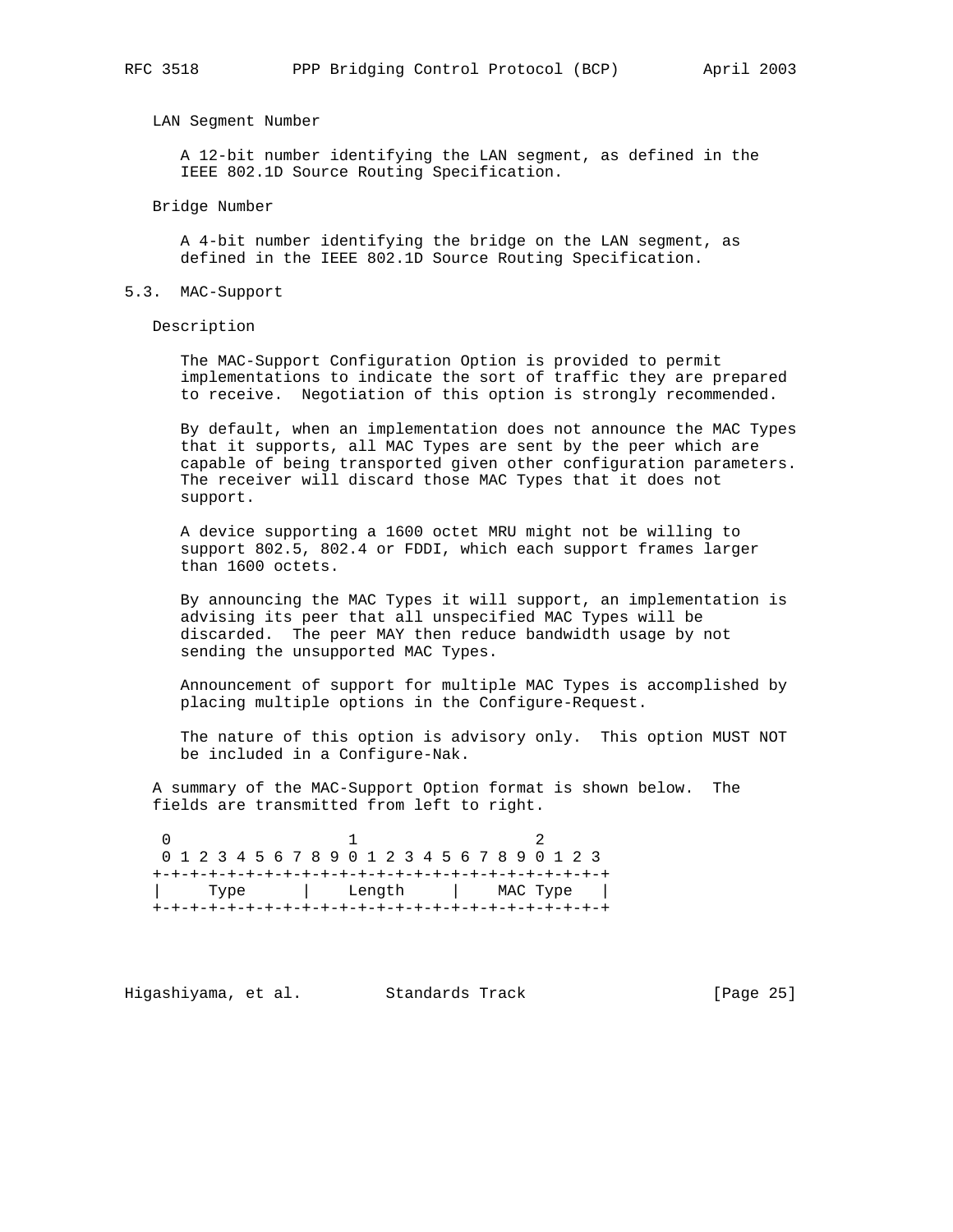#### LAN Segment Number

 A 12-bit number identifying the LAN segment, as defined in the IEEE 802.1D Source Routing Specification.

Bridge Number

 A 4-bit number identifying the bridge on the LAN segment, as defined in the IEEE 802.1D Source Routing Specification.

# 5.3. MAC-Support

Description

 The MAC-Support Configuration Option is provided to permit implementations to indicate the sort of traffic they are prepared to receive. Negotiation of this option is strongly recommended.

 By default, when an implementation does not announce the MAC Types that it supports, all MAC Types are sent by the peer which are capable of being transported given other configuration parameters. The receiver will discard those MAC Types that it does not support.

 A device supporting a 1600 octet MRU might not be willing to support 802.5, 802.4 or FDDI, which each support frames larger than 1600 octets.

 By announcing the MAC Types it will support, an implementation is advising its peer that all unspecified MAC Types will be discarded. The peer MAY then reduce bandwidth usage by not sending the unsupported MAC Types.

 Announcement of support for multiple MAC Types is accomplished by placing multiple options in the Configure-Request.

 The nature of this option is advisory only. This option MUST NOT be included in a Configure-Nak.

 A summary of the MAC-Support Option format is shown below. The fields are transmitted from left to right.

 $0$  1 2 0 1 2 3 4 5 6 7 8 9 0 1 2 3 4 5 6 7 8 9 0 1 2 3 +-+-+-+-+-+-+-+-+-+-+-+-+-+-+-+-+-+-+-+-+-+-+-+-+ | Type | Length | MAC Type | +-+-+-+-+-+-+-+-+-+-+-+-+-+-+-+-+-+-+-+-+-+-+-+-+

Higashiyama, et al. Standards Track [Page 25]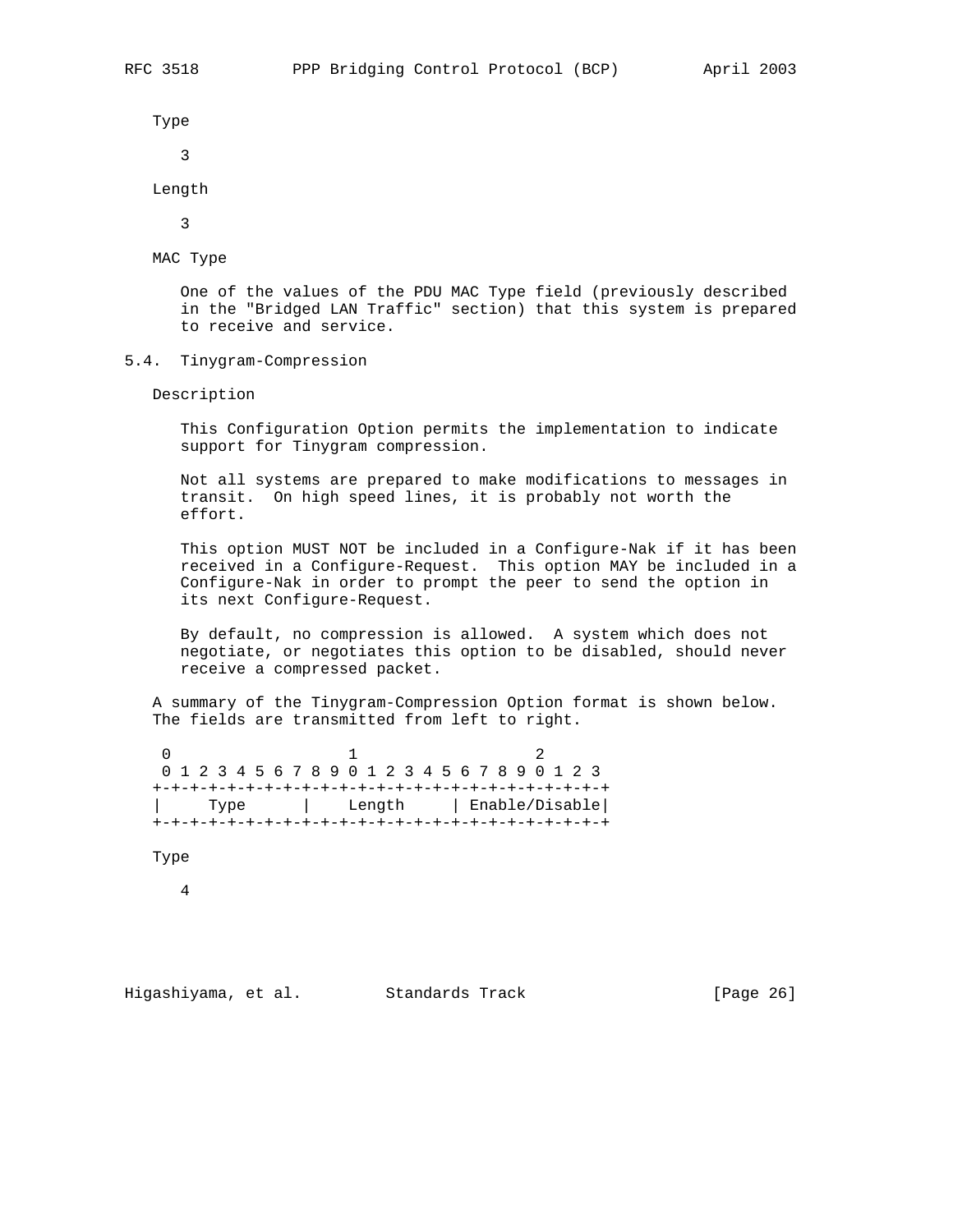Type

3

Length

3

MAC Type

 One of the values of the PDU MAC Type field (previously described in the "Bridged LAN Traffic" section) that this system is prepared to receive and service.

5.4. Tinygram-Compression

Description

 This Configuration Option permits the implementation to indicate support for Tinygram compression.

 Not all systems are prepared to make modifications to messages in transit. On high speed lines, it is probably not worth the effort.

 This option MUST NOT be included in a Configure-Nak if it has been received in a Configure-Request. This option MAY be included in a Configure-Nak in order to prompt the peer to send the option in its next Configure-Request.

 By default, no compression is allowed. A system which does not negotiate, or negotiates this option to be disabled, should never receive a compressed packet.

 A summary of the Tinygram-Compression Option format is shown below. The fields are transmitted from left to right.

| 0 1 2 3 4 5 6 7 8 9 0 1 2 3 4 5 6 7 8 9 0 1 2 3 |  |  |  |                                |  |  |  |  |  |  |  |  |  |  |  |  |  |  |  |
|-------------------------------------------------|--|--|--|--------------------------------|--|--|--|--|--|--|--|--|--|--|--|--|--|--|--|
|                                                 |  |  |  |                                |  |  |  |  |  |  |  |  |  |  |  |  |  |  |  |
|                                                 |  |  |  | Type   Length   Enable/Disable |  |  |  |  |  |  |  |  |  |  |  |  |  |  |  |
|                                                 |  |  |  |                                |  |  |  |  |  |  |  |  |  |  |  |  |  |  |  |

Type

4

Higashiyama, et al. Standards Track [Page 26]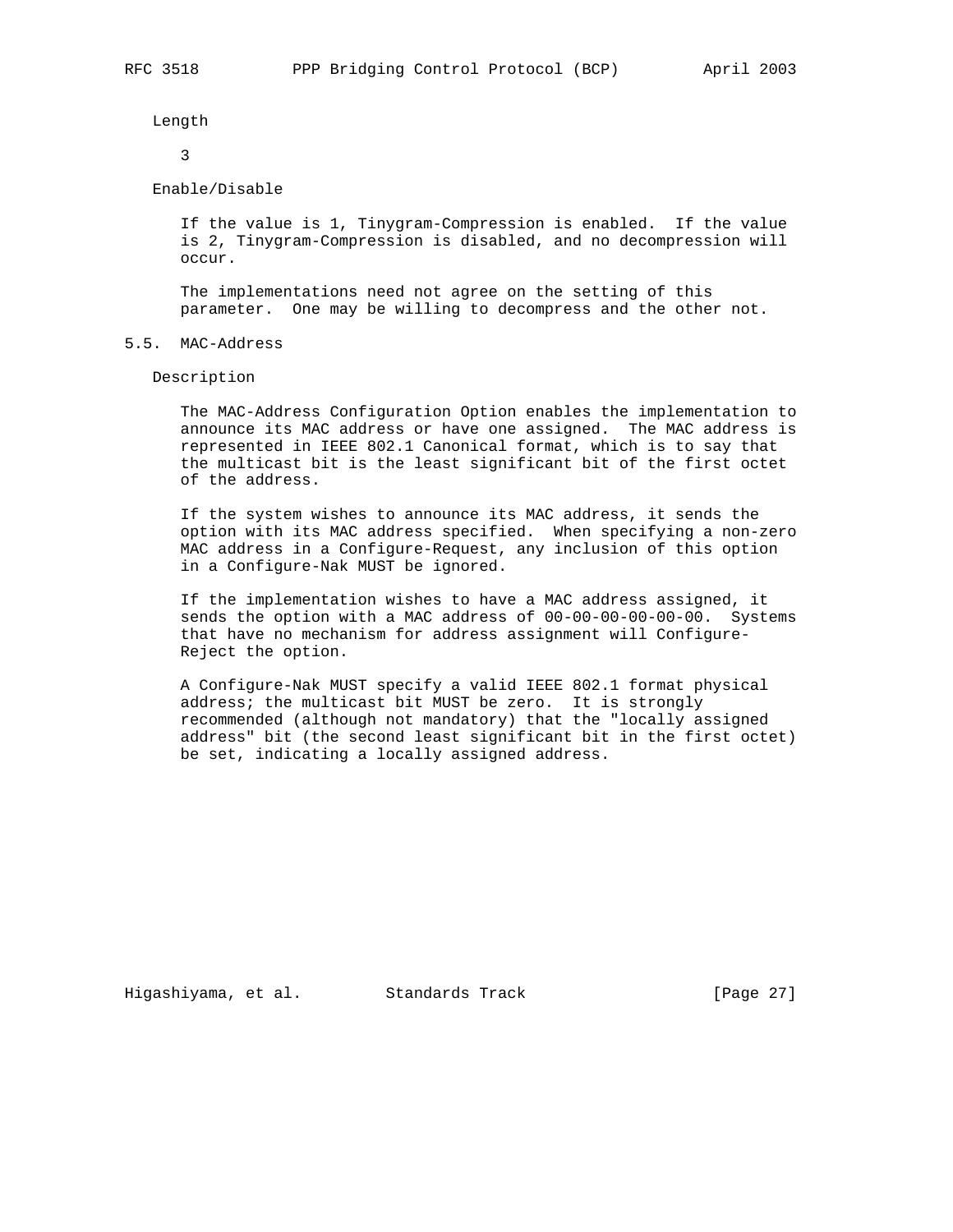Length

3

Enable/Disable

 If the value is 1, Tinygram-Compression is enabled. If the value is 2, Tinygram-Compression is disabled, and no decompression will occur.

 The implementations need not agree on the setting of this parameter. One may be willing to decompress and the other not.

# 5.5. MAC-Address

Description

 The MAC-Address Configuration Option enables the implementation to announce its MAC address or have one assigned. The MAC address is represented in IEEE 802.1 Canonical format, which is to say that the multicast bit is the least significant bit of the first octet of the address.

 If the system wishes to announce its MAC address, it sends the option with its MAC address specified. When specifying a non-zero MAC address in a Configure-Request, any inclusion of this option in a Configure-Nak MUST be ignored.

 If the implementation wishes to have a MAC address assigned, it sends the option with a MAC address of 00-00-00-00-00-00. Systems that have no mechanism for address assignment will Configure- Reject the option.

 A Configure-Nak MUST specify a valid IEEE 802.1 format physical address; the multicast bit MUST be zero. It is strongly recommended (although not mandatory) that the "locally assigned address" bit (the second least significant bit in the first octet) be set, indicating a locally assigned address.

Higashiyama, et al. Standards Track (Page 27)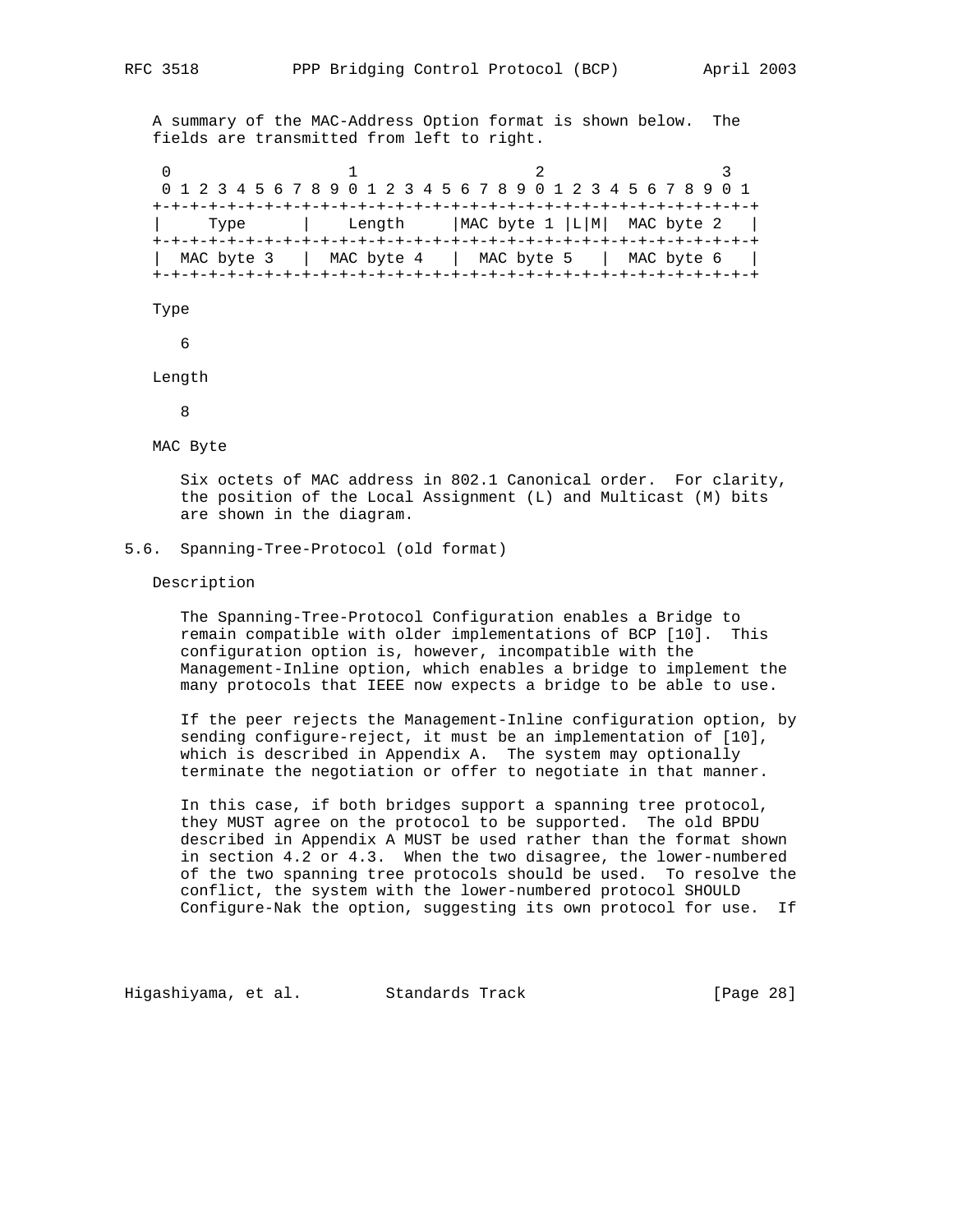A summary of the MAC-Address Option format is shown below. The fields are transmitted from left to right.

0  $1$  2 3 0 1 2 3 4 5 6 7 8 9 0 1 2 3 4 5 6 7 8 9 0 1 2 3 4 5 6 7 8 9 0 1 +-+-+-+-+-+-+-+-+-+-+-+-+-+-+-+-+-+-+-+-+-+-+-+-+-+-+-+-+-+-+-+-+ | Type | Length |MAC byte 1 |L|M| MAC byte 2 | +-+-+-+-+-+-+-+-+-+-+-+-+-+-+-+-+-+-+-+-+-+-+-+-+-+-+-+-+-+-+-+-+ | MAC byte 3 | MAC byte 4 | MAC byte 5 | MAC byte 6 | +-+-+-+-+-+-+-+-+-+-+-+-+-+-+-+-+-+-+-+-+-+-+-+-+-+-+-+-+-+-+-+-+

Type

6

Length

8

MAC Byte

 Six octets of MAC address in 802.1 Canonical order. For clarity, the position of the Local Assignment (L) and Multicast (M) bits are shown in the diagram.

## 5.6. Spanning-Tree-Protocol (old format)

Description

 The Spanning-Tree-Protocol Configuration enables a Bridge to remain compatible with older implementations of BCP [10]. This configuration option is, however, incompatible with the Management-Inline option, which enables a bridge to implement the many protocols that IEEE now expects a bridge to be able to use.

 If the peer rejects the Management-Inline configuration option, by sending configure-reject, it must be an implementation of [10], which is described in Appendix A. The system may optionally terminate the negotiation or offer to negotiate in that manner.

 In this case, if both bridges support a spanning tree protocol, they MUST agree on the protocol to be supported. The old BPDU described in Appendix A MUST be used rather than the format shown in section 4.2 or 4.3. When the two disagree, the lower-numbered of the two spanning tree protocols should be used. To resolve the conflict, the system with the lower-numbered protocol SHOULD Configure-Nak the option, suggesting its own protocol for use. If

Higashiyama, et al. Standards Track [Page 28]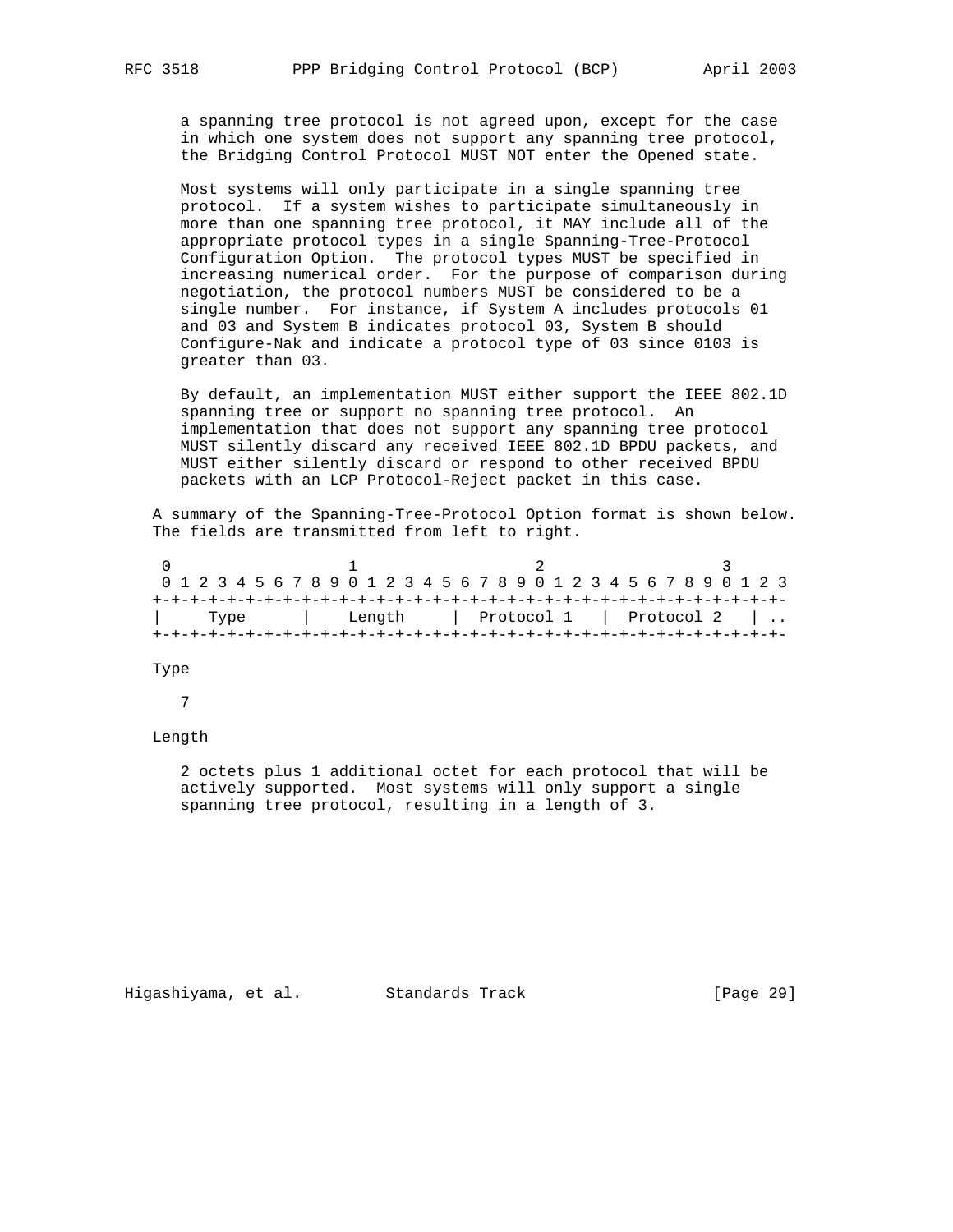a spanning tree protocol is not agreed upon, except for the case in which one system does not support any spanning tree protocol, the Bridging Control Protocol MUST NOT enter the Opened state.

 Most systems will only participate in a single spanning tree protocol. If a system wishes to participate simultaneously in more than one spanning tree protocol, it MAY include all of the appropriate protocol types in a single Spanning-Tree-Protocol Configuration Option. The protocol types MUST be specified in increasing numerical order. For the purpose of comparison during negotiation, the protocol numbers MUST be considered to be a single number. For instance, if System A includes protocols 01 and 03 and System B indicates protocol 03, System B should Configure-Nak and indicate a protocol type of 03 since 0103 is greater than 03.

 By default, an implementation MUST either support the IEEE 802.1D spanning tree or support no spanning tree protocol. An implementation that does not support any spanning tree protocol MUST silently discard any received IEEE 802.1D BPDU packets, and MUST either silently discard or respond to other received BPDU packets with an LCP Protocol-Reject packet in this case.

 A summary of the Spanning-Tree-Protocol Option format is shown below. The fields are transmitted from left to right.

| 0 1 2 3 4 5 6 7 8 9 0 1 2 3 4 5 6 7 8 9 0 1 2 3 4 5 6 7 8 9 0 1 2 3 |      |  |  |  |  |  |  |  |  |  |  |  |  |  |  |  |
|---------------------------------------------------------------------|------|--|--|--|--|--|--|--|--|--|--|--|--|--|--|--|
|                                                                     |      |  |  |  |  |  |  |  |  |  |  |  |  |  |  |  |
|                                                                     | Type |  |  |  |  |  |  |  |  |  |  |  |  |  |  |  |
|                                                                     |      |  |  |  |  |  |  |  |  |  |  |  |  |  |  |  |

Type

7

Length

 2 octets plus 1 additional octet for each protocol that will be actively supported. Most systems will only support a single spanning tree protocol, resulting in a length of 3.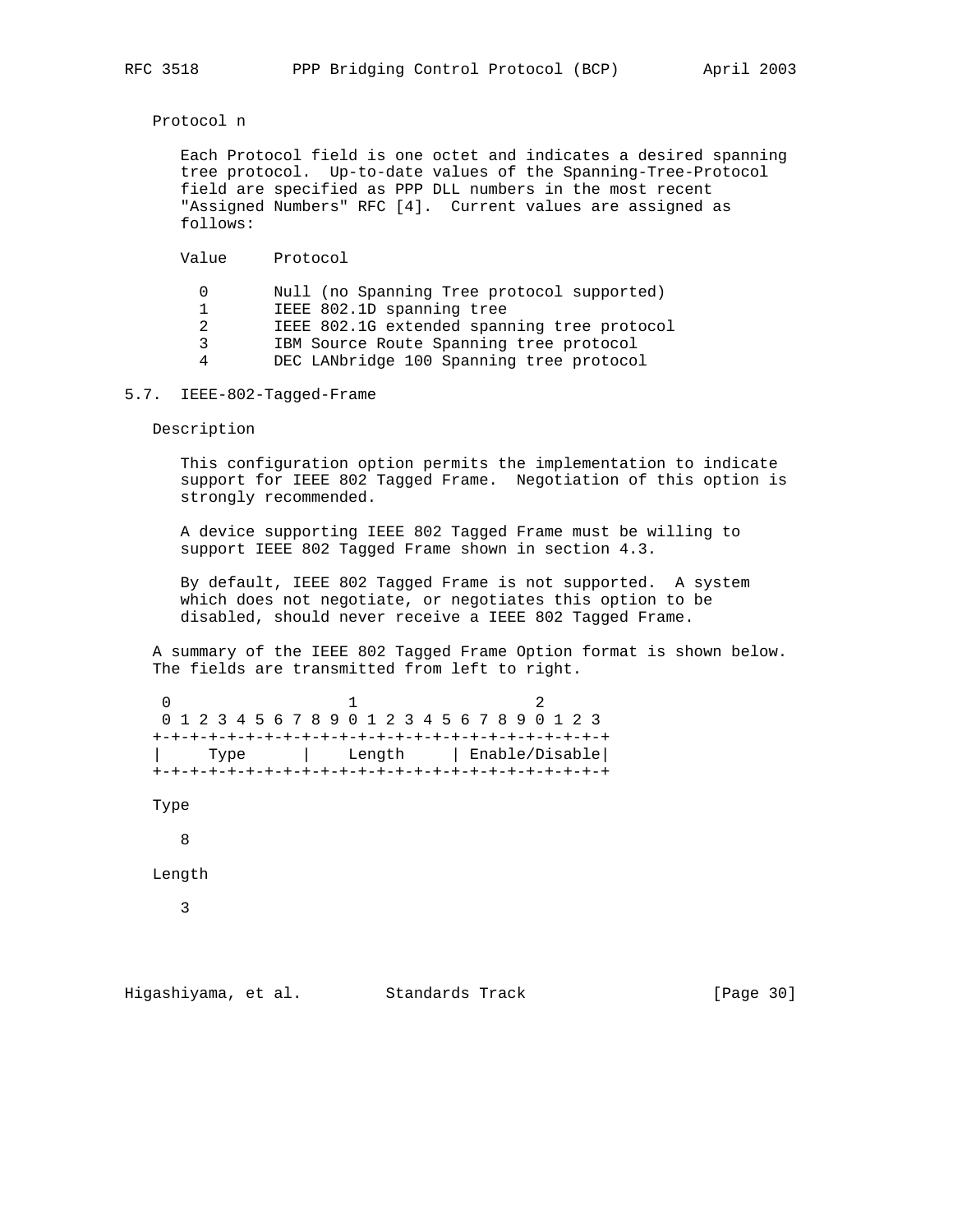Protocol n

 Each Protocol field is one octet and indicates a desired spanning tree protocol. Up-to-date values of the Spanning-Tree-Protocol field are specified as PPP DLL numbers in the most recent "Assigned Numbers" RFC [4]. Current values are assigned as follows:

Value Protocol

|  | Null (no Spanning Tree protocol supported) |
|--|--------------------------------------------|
|  | IEEE 802.1D spanning tree                  |

- 2 IEEE 802.1G extended spanning tree protocol
- 3 IBM Source Route Spanning tree protocol
- 4 DEC LANbridge 100 Spanning tree protocol

# 5.7. IEEE-802-Tagged-Frame

Description

 This configuration option permits the implementation to indicate support for IEEE 802 Tagged Frame. Negotiation of this option is strongly recommended.

 A device supporting IEEE 802 Tagged Frame must be willing to support IEEE 802 Tagged Frame shown in section 4.3.

 By default, IEEE 802 Tagged Frame is not supported. A system which does not negotiate, or negotiates this option to be disabled, should never receive a IEEE 802 Tagged Frame.

 A summary of the IEEE 802 Tagged Frame Option format is shown below. The fields are transmitted from left to right.

| 0 1 2 3 4 5 6 7 8 9 0 1 2 3 4 5 6 7 8 9 0 1 2 3 |  |  |  |                                |  |  |  |  |  |  |  |  |  |  |  |  |  |  |  |
|-------------------------------------------------|--|--|--|--------------------------------|--|--|--|--|--|--|--|--|--|--|--|--|--|--|--|
|                                                 |  |  |  |                                |  |  |  |  |  |  |  |  |  |  |  |  |  |  |  |
|                                                 |  |  |  | Type   Length   Enable/Disable |  |  |  |  |  |  |  |  |  |  |  |  |  |  |  |
|                                                 |  |  |  |                                |  |  |  |  |  |  |  |  |  |  |  |  |  |  |  |

Type

8

Length

3

Higashiyama, et al. Standards Track [Page 30]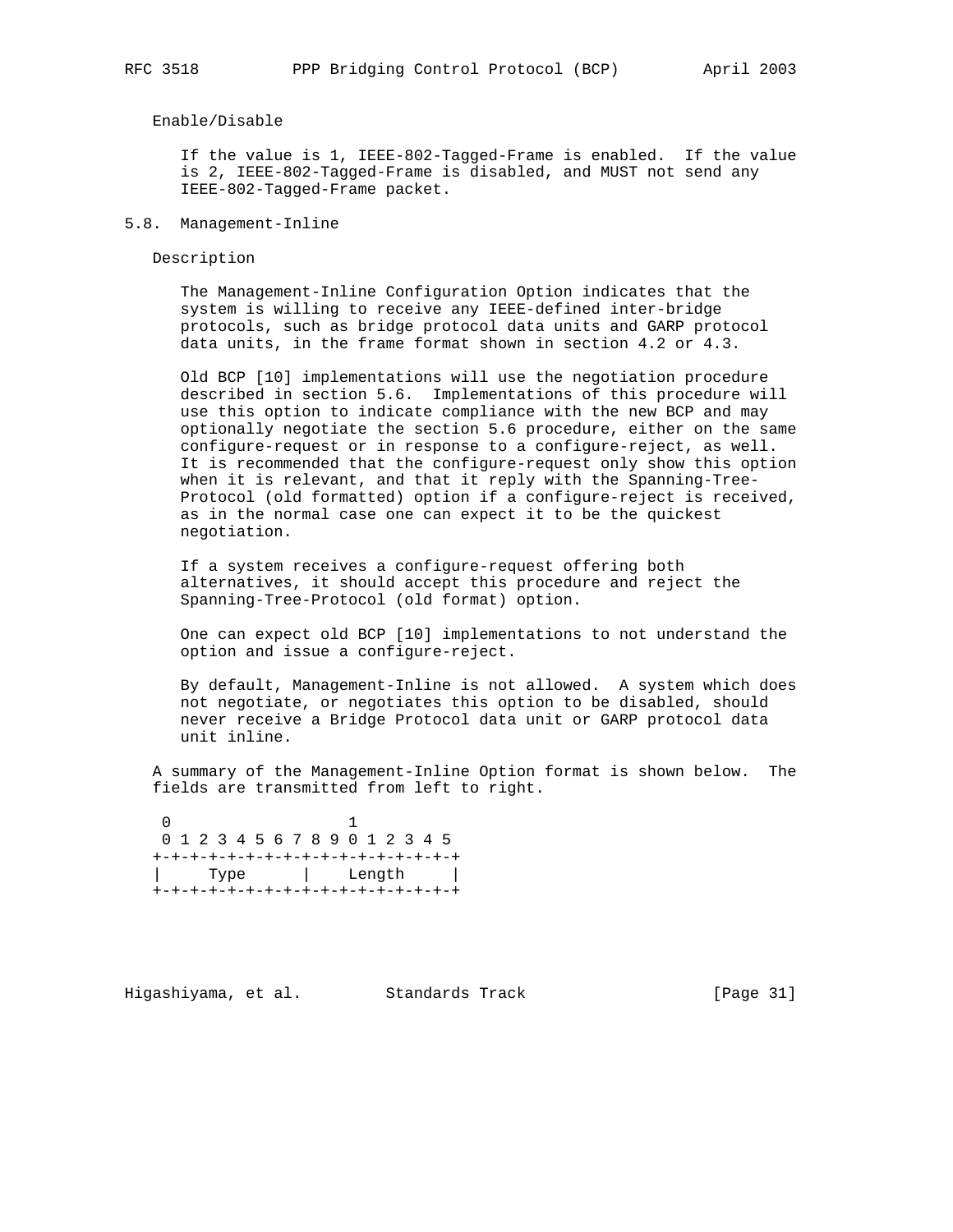Enable/Disable

 If the value is 1, IEEE-802-Tagged-Frame is enabled. If the value is 2, IEEE-802-Tagged-Frame is disabled, and MUST not send any IEEE-802-Tagged-Frame packet.

#### 5.8. Management-Inline

Description

 The Management-Inline Configuration Option indicates that the system is willing to receive any IEEE-defined inter-bridge protocols, such as bridge protocol data units and GARP protocol data units, in the frame format shown in section 4.2 or 4.3.

 Old BCP [10] implementations will use the negotiation procedure described in section 5.6. Implementations of this procedure will use this option to indicate compliance with the new BCP and may optionally negotiate the section 5.6 procedure, either on the same configure-request or in response to a configure-reject, as well. It is recommended that the configure-request only show this option when it is relevant, and that it reply with the Spanning-Tree- Protocol (old formatted) option if a configure-reject is received, as in the normal case one can expect it to be the quickest negotiation.

 If a system receives a configure-request offering both alternatives, it should accept this procedure and reject the Spanning-Tree-Protocol (old format) option.

 One can expect old BCP [10] implementations to not understand the option and issue a configure-reject.

 By default, Management-Inline is not allowed. A system which does not negotiate, or negotiates this option to be disabled, should never receive a Bridge Protocol data unit or GARP protocol data unit inline.

 A summary of the Management-Inline Option format is shown below. The fields are transmitted from left to right.

 0 1 0 1 2 3 4 5 6 7 8 9 0 1 2 3 4 5 +-+-+-+-+-+-+-+-+-+-+-+-+-+-+-+-+ | Type | Length | +-+-+-+-+-+-+-+-+-+-+-+-+-+-+-+-+

Higashiyama, et al. Standards Track [Page 31]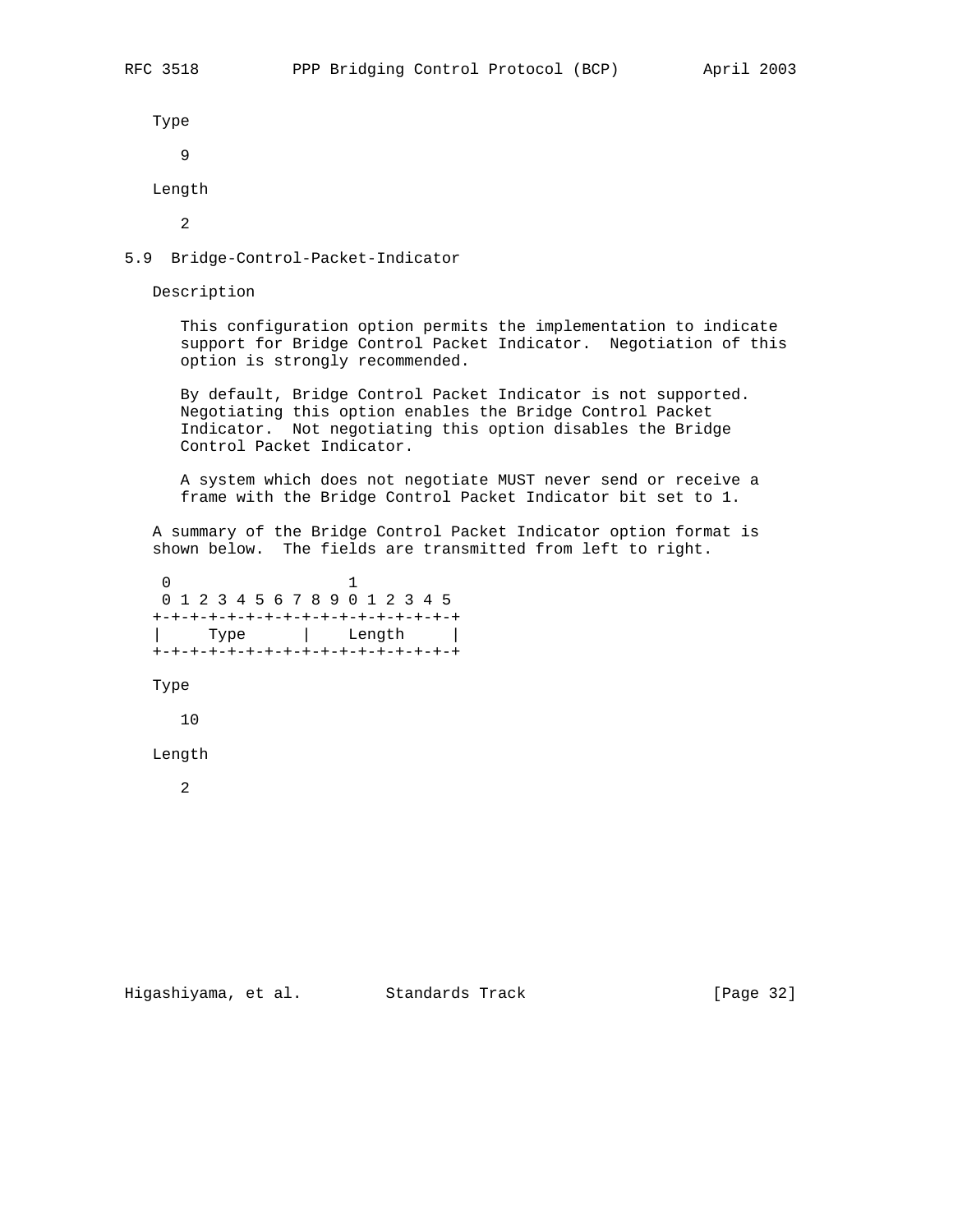Type

9

Length

2

5.9 Bridge-Control-Packet-Indicator

Description

 This configuration option permits the implementation to indicate support for Bridge Control Packet Indicator. Negotiation of this option is strongly recommended.

 By default, Bridge Control Packet Indicator is not supported. Negotiating this option enables the Bridge Control Packet Indicator. Not negotiating this option disables the Bridge Control Packet Indicator.

 A system which does not negotiate MUST never send or receive a frame with the Bridge Control Packet Indicator bit set to 1.

 A summary of the Bridge Control Packet Indicator option format is shown below. The fields are transmitted from left to right.

 0 1 0 1 2 3 4 5 6 7 8 9 0 1 2 3 4 5 +-+-+-+-+-+-+-+-+-+-+-+-+-+-+-+-+ | Type | Length | +-+-+-+-+-+-+-+-+-+-+-+-+-+-+-+-+

Type

10

Length

2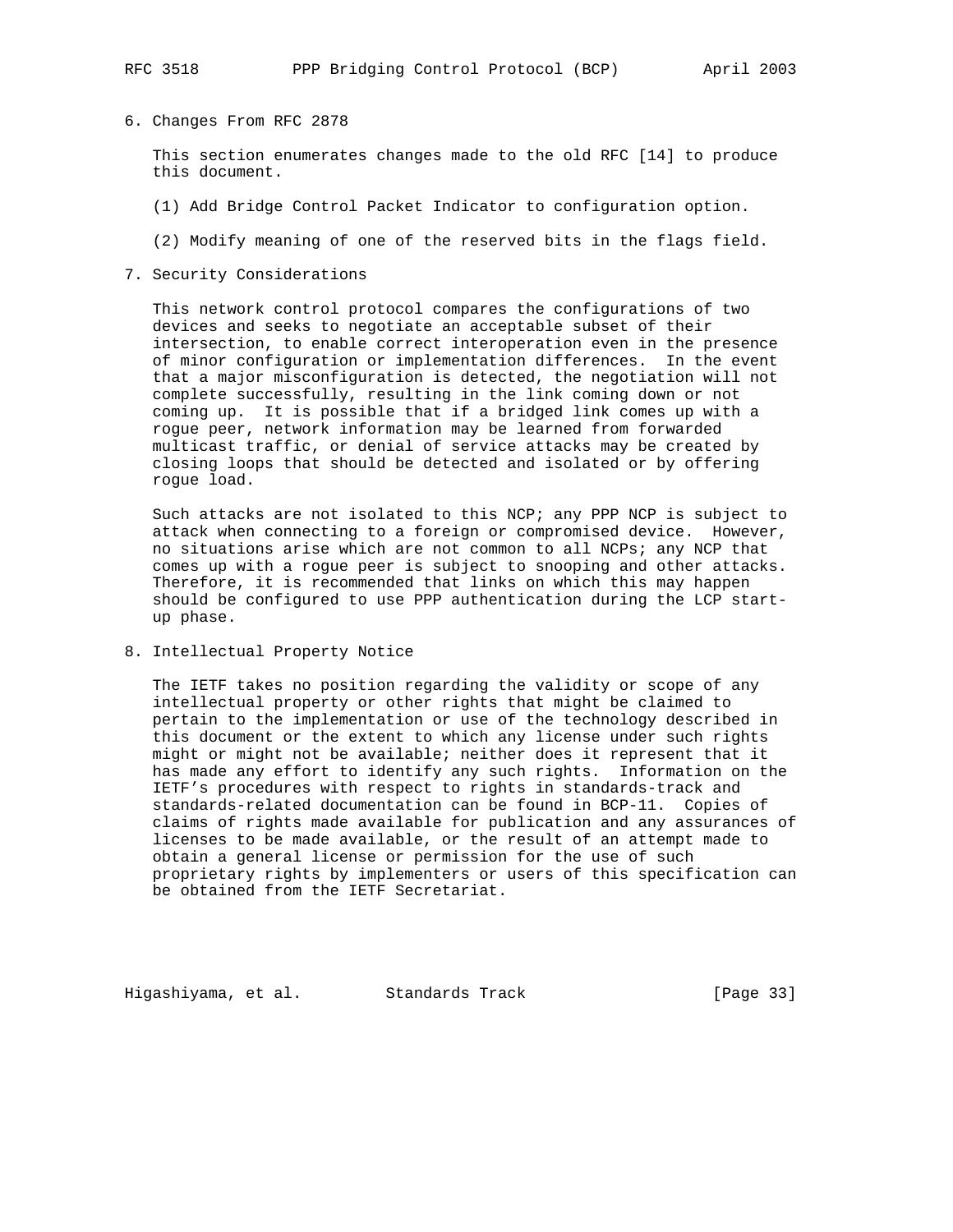#### 6. Changes From RFC 2878

 This section enumerates changes made to the old RFC [14] to produce this document.

- (1) Add Bridge Control Packet Indicator to configuration option.
- (2) Modify meaning of one of the reserved bits in the flags field.
- 7. Security Considerations

 This network control protocol compares the configurations of two devices and seeks to negotiate an acceptable subset of their intersection, to enable correct interoperation even in the presence of minor configuration or implementation differences. In the event that a major misconfiguration is detected, the negotiation will not complete successfully, resulting in the link coming down or not coming up. It is possible that if a bridged link comes up with a rogue peer, network information may be learned from forwarded multicast traffic, or denial of service attacks may be created by closing loops that should be detected and isolated or by offering rogue load.

 Such attacks are not isolated to this NCP; any PPP NCP is subject to attack when connecting to a foreign or compromised device. However, no situations arise which are not common to all NCPs; any NCP that comes up with a rogue peer is subject to snooping and other attacks. Therefore, it is recommended that links on which this may happen should be configured to use PPP authentication during the LCP start up phase.

8. Intellectual Property Notice

 The IETF takes no position regarding the validity or scope of any intellectual property or other rights that might be claimed to pertain to the implementation or use of the technology described in this document or the extent to which any license under such rights might or might not be available; neither does it represent that it has made any effort to identify any such rights. Information on the IETF's procedures with respect to rights in standards-track and standards-related documentation can be found in BCP-11. Copies of claims of rights made available for publication and any assurances of licenses to be made available, or the result of an attempt made to obtain a general license or permission for the use of such proprietary rights by implementers or users of this specification can be obtained from the IETF Secretariat.

Higashiyama, et al. Standards Track [Page 33]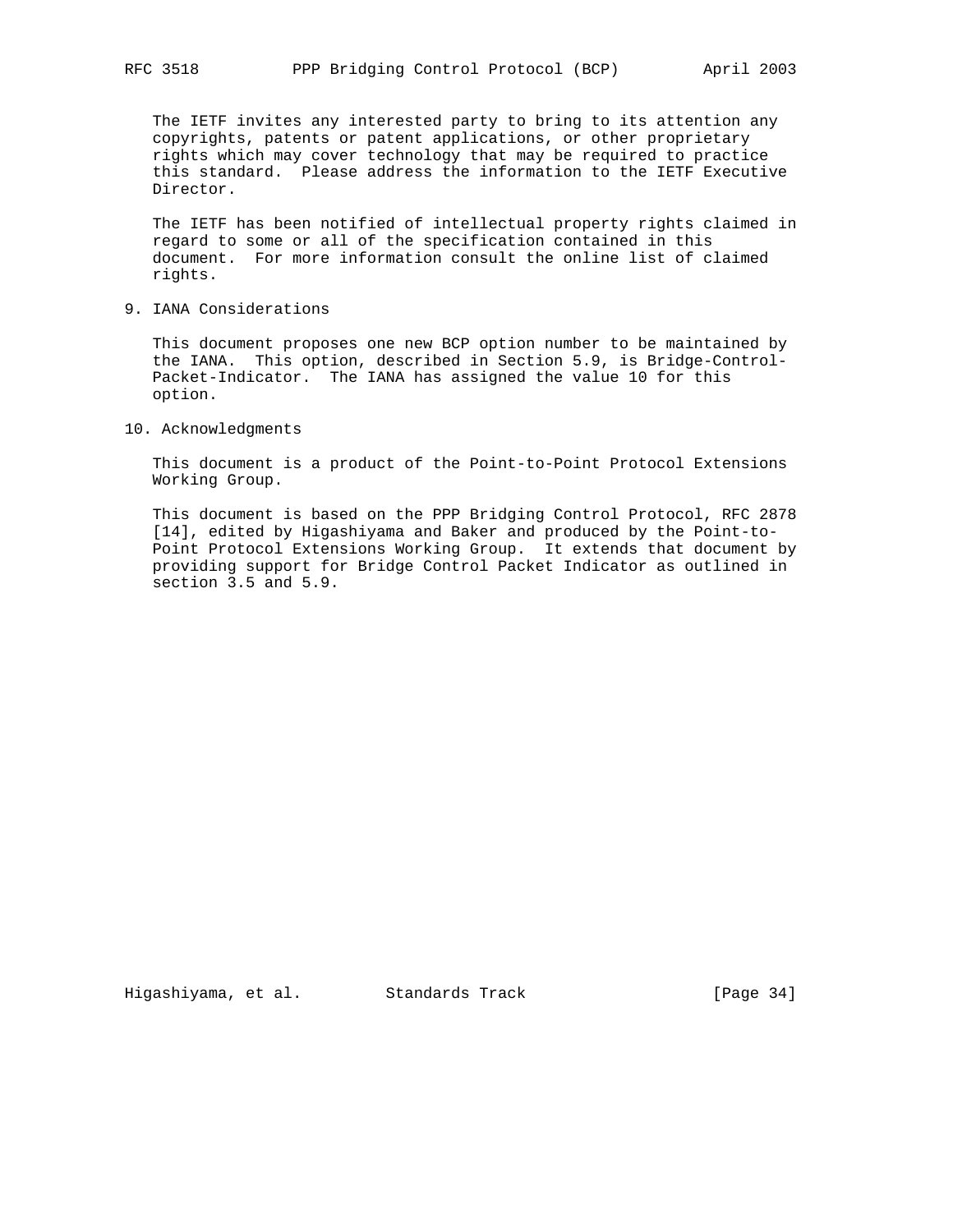The IETF invites any interested party to bring to its attention any copyrights, patents or patent applications, or other proprietary rights which may cover technology that may be required to practice this standard. Please address the information to the IETF Executive Director.

 The IETF has been notified of intellectual property rights claimed in regard to some or all of the specification contained in this document. For more information consult the online list of claimed rights.

9. IANA Considerations

 This document proposes one new BCP option number to be maintained by the IANA. This option, described in Section 5.9, is Bridge-Control- Packet-Indicator. The IANA has assigned the value 10 for this option.

10. Acknowledgments

 This document is a product of the Point-to-Point Protocol Extensions Working Group.

 This document is based on the PPP Bridging Control Protocol, RFC 2878 [14], edited by Higashiyama and Baker and produced by the Point-to- Point Protocol Extensions Working Group. It extends that document by providing support for Bridge Control Packet Indicator as outlined in section 3.5 and 5.9.

Higashiyama, et al. Standards Track [Page 34]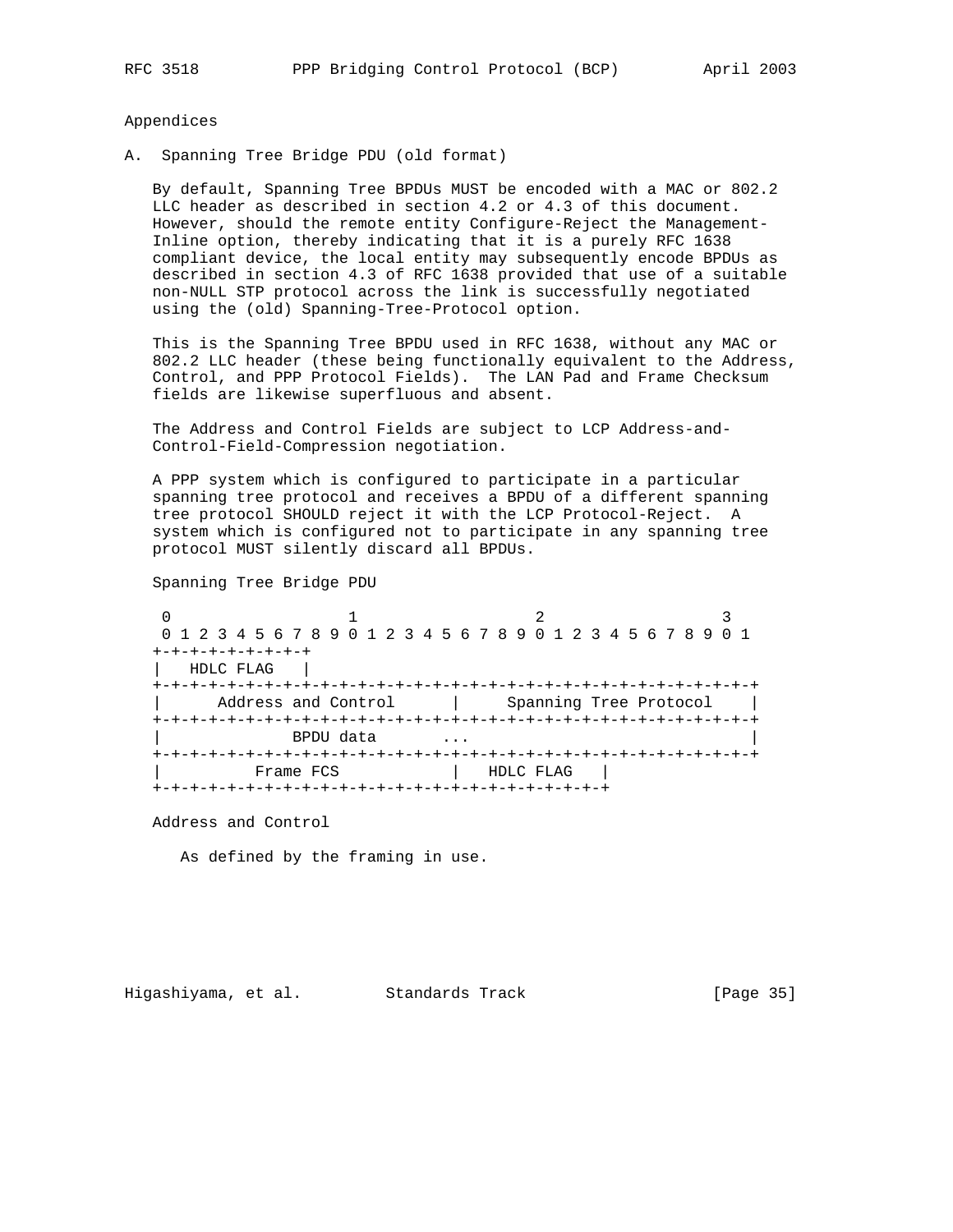#### Appendices

A. Spanning Tree Bridge PDU (old format)

 By default, Spanning Tree BPDUs MUST be encoded with a MAC or 802.2 LLC header as described in section 4.2 or 4.3 of this document. However, should the remote entity Configure-Reject the Management- Inline option, thereby indicating that it is a purely RFC 1638 compliant device, the local entity may subsequently encode BPDUs as described in section 4.3 of RFC 1638 provided that use of a suitable non-NULL STP protocol across the link is successfully negotiated using the (old) Spanning-Tree-Protocol option.

 This is the Spanning Tree BPDU used in RFC 1638, without any MAC or 802.2 LLC header (these being functionally equivalent to the Address, Control, and PPP Protocol Fields). The LAN Pad and Frame Checksum fields are likewise superfluous and absent.

 The Address and Control Fields are subject to LCP Address-and- Control-Field-Compression negotiation.

 A PPP system which is configured to participate in a particular spanning tree protocol and receives a BPDU of a different spanning tree protocol SHOULD reject it with the LCP Protocol-Reject. A system which is configured not to participate in any spanning tree protocol MUST silently discard all BPDUs.

Spanning Tree Bridge PDU

0  $1$  2 3 0 1 2 3 4 5 6 7 8 9 0 1 2 3 4 5 6 7 8 9 0 1 2 3 4 5 6 7 8 9 0 1 +-+-+-+-+-+-+-+-+ | HDLC FLAG | +-+-+-+-+-+-+-+-+-+-+-+-+-+-+-+-+-+-+-+-+-+-+-+-+-+-+-+-+-+-+-+-+ Address and Control | Spanning Tree Protocol | +-+-+-+-+-+-+-+-+-+-+-+-+-+-+-+-+-+-+-+-+-+-+-+-+-+-+-+-+-+-+-+-+ BPDU data ... +-+-+-+-+-+-+-+-+-+-+-+-+-+-+-+-+-+-+-+-+-+-+-+-+-+-+-+-+-+-+-+-+ Frame FCS | HDLC FLAG | +-+-+-+-+-+-+-+-+-+-+-+-+-+-+-+-+-+-+-+-+-+-+-+-+

Address and Control

As defined by the framing in use.

Higashiyama, et al. Standards Track [Page 35]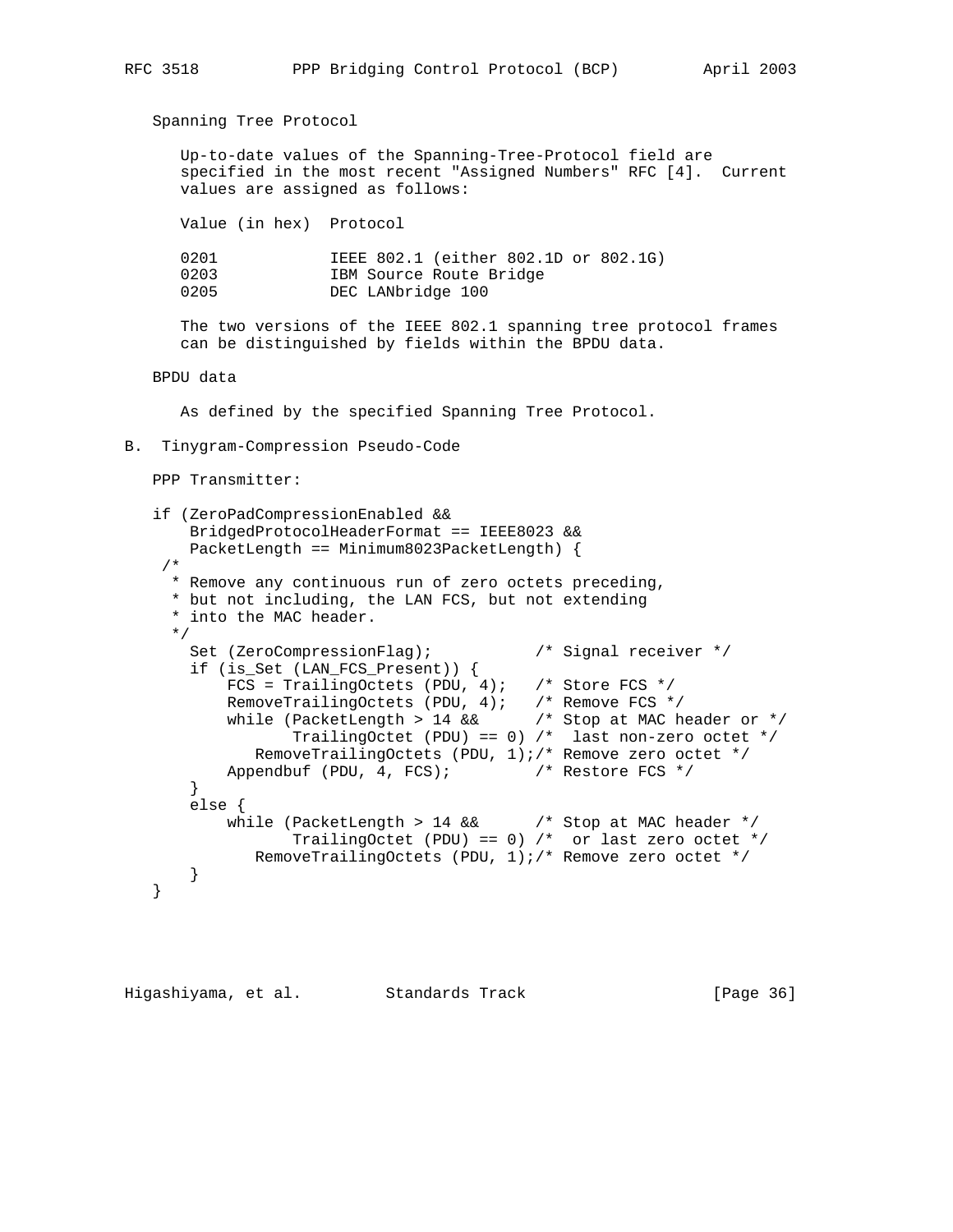Spanning Tree Protocol Up-to-date values of the Spanning-Tree-Protocol field are specified in the most recent "Assigned Numbers" RFC [4]. Current values are assigned as follows: Value (in hex) Protocol 0201 **IEEE 802.1** (either 802.1D or 802.1G) 0203 **IBM** Source Route Bridge 0205 DEC LANbridge 100 The two versions of the IEEE 802.1 spanning tree protocol frames can be distinguished by fields within the BPDU data. BPDU data As defined by the specified Spanning Tree Protocol. B. Tinygram-Compression Pseudo-Code PPP Transmitter: BridgedProtocolHeaderFormat == IEEE8023 && PacketLength == Minimum8023PacketLength) {

```
 if (ZeroPadCompressionEnabled &&
    /*
     * Remove any continuous run of zero octets preceding,
      * but not including, the LAN FCS, but not extending
      * into the MAC header.
      */
       Set (ZeroCompressionFlag); /* Signal receiver */
       if (is_Set (LAN_FCS_Present)) {
           FCS = TrailingOctets (PDU, 4); /* Store FCS */
RemoveTrailingOctets (PDU, 4); /* Remove FCS */
 while (PacketLength > 14 && /* Stop at MAC header or */
                 TrailingOctet (PDU) == 0) /* last non-zero octet */
             RemoveTrailingOctets (PDU, 1);/* Remove zero octet */<br>pendbuf (PDU, 4, FCS);<br>/* Restore FCS */
          Appendbuf (PDU, 4, FCS);
       }
       else {
          while (PacketLength > 14 && /* Stop at MAC header */
                 TrailingOctet (PDU) == 0) /* or last zero octet */
              RemoveTrailingOctets (PDU, 1);/* Remove zero octet */
       }
   }
```
Higashiyama, et al. Standards Track [Page 36]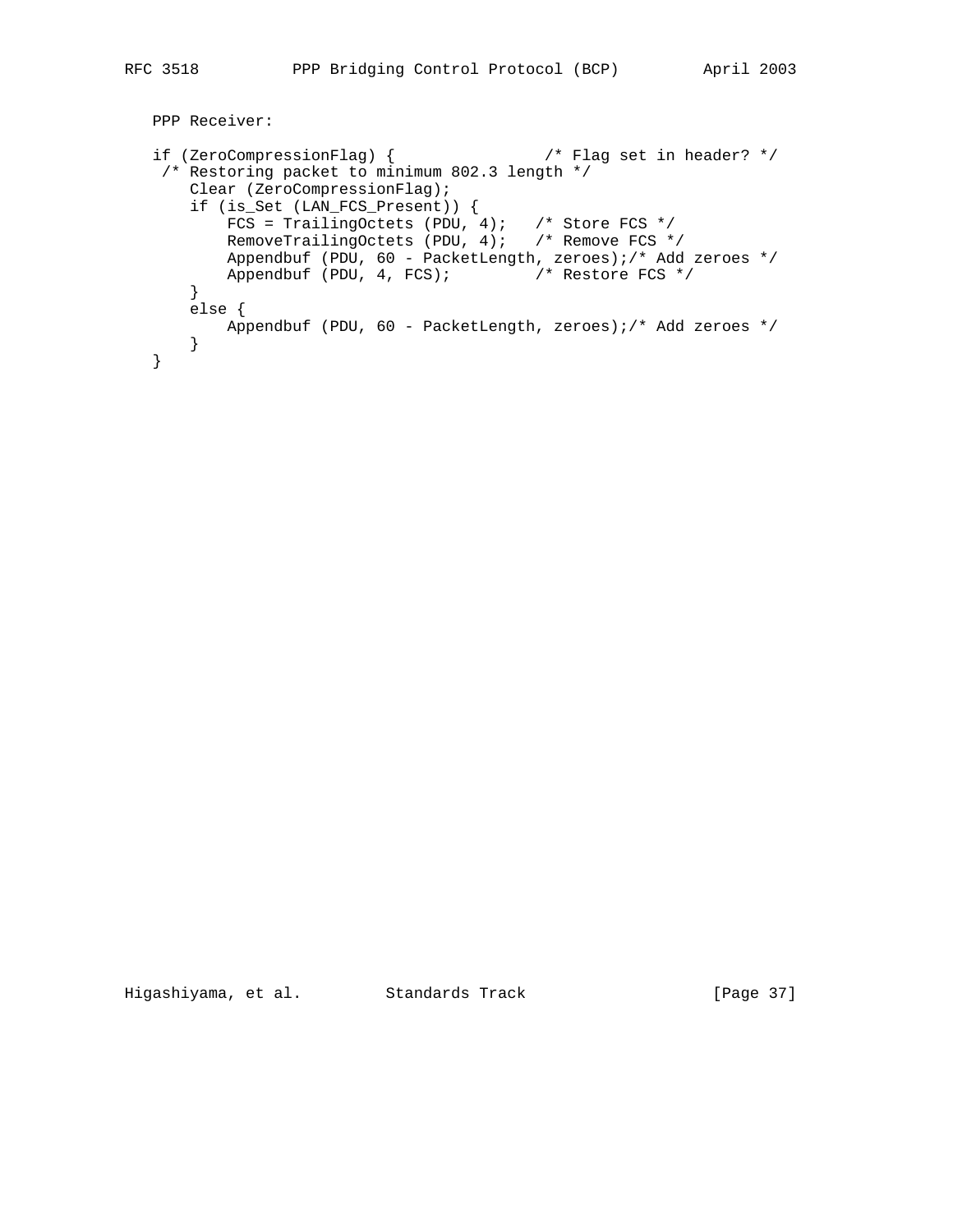```
 PPP Receiver:
   if (ZeroCompressionFlag) { /* Flag set in header? */
    /* Restoring packet to minimum 802.3 length */
       Clear (ZeroCompressionFlag);
       if (is_Set (LAN_FCS_Present)) {
FCS = TrailingOctets (PDU, 4); /* Store FCS */RemoveTrailingOctets (PDU, 4); /* Remove FCS */
          Appendbuf (PDU, 60 - PacketLength, zeroes);/* Add zeroes */
        Appendbuf (PDU, 4, FCS); /* Restore FCS */
       }
      else {
         Appendbuf (PDU, 60 - PacketLength, zeroes);/* Add zeroes */
      }
   }
```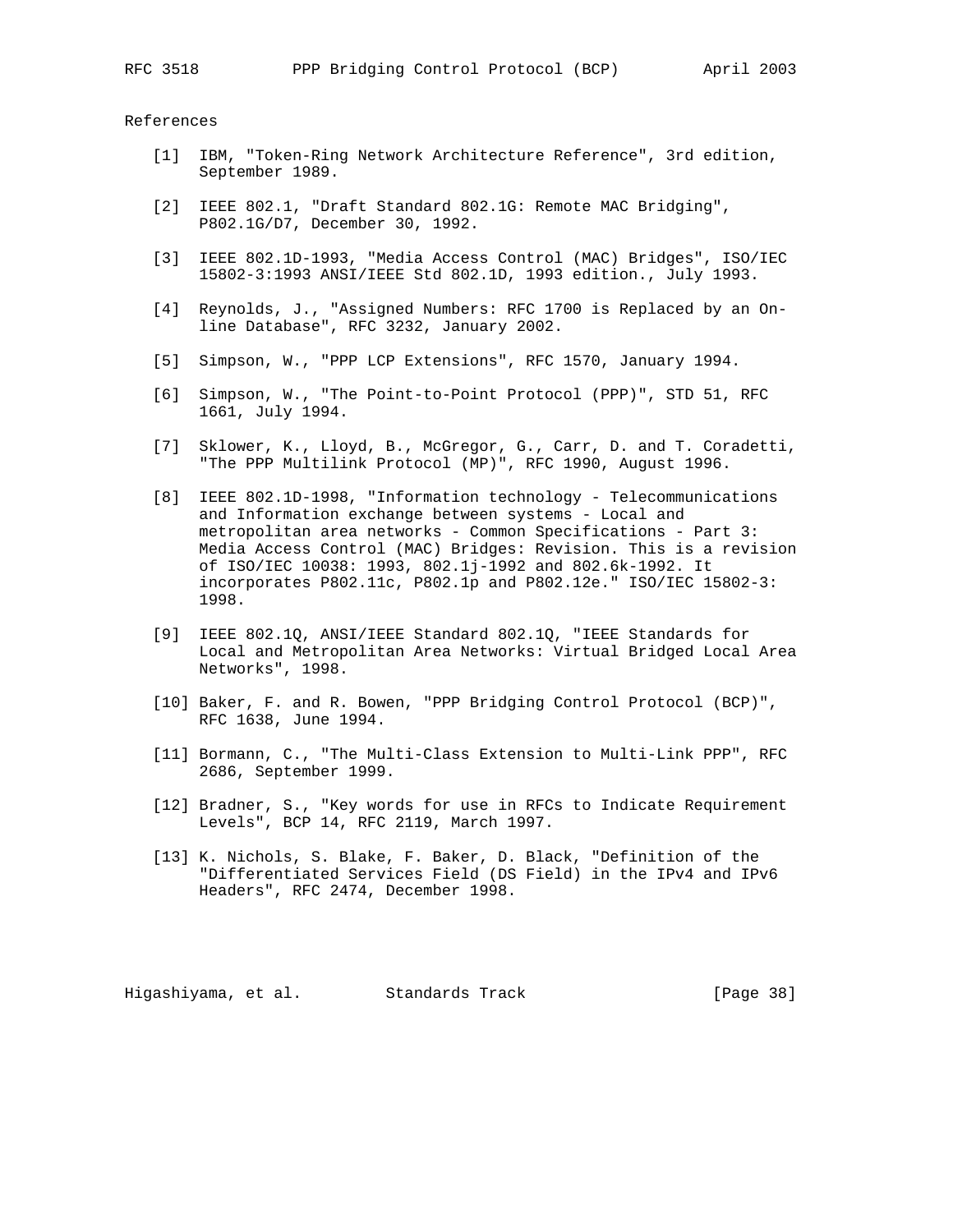References

- [1] IBM, "Token-Ring Network Architecture Reference", 3rd edition, September 1989.
- [2] IEEE 802.1, "Draft Standard 802.1G: Remote MAC Bridging", P802.1G/D7, December 30, 1992.
- [3] IEEE 802.1D-1993, "Media Access Control (MAC) Bridges", ISO/IEC 15802-3:1993 ANSI/IEEE Std 802.1D, 1993 edition., July 1993.
- [4] Reynolds, J., "Assigned Numbers: RFC 1700 is Replaced by an On line Database", RFC 3232, January 2002.
- [5] Simpson, W., "PPP LCP Extensions", RFC 1570, January 1994.
- [6] Simpson, W., "The Point-to-Point Protocol (PPP)", STD 51, RFC 1661, July 1994.
- [7] Sklower, K., Lloyd, B., McGregor, G., Carr, D. and T. Coradetti, "The PPP Multilink Protocol (MP)", RFC 1990, August 1996.
- [8] IEEE 802.1D-1998, "Information technology Telecommunications and Information exchange between systems - Local and metropolitan area networks - Common Specifications - Part 3: Media Access Control (MAC) Bridges: Revision. This is a revision of ISO/IEC 10038: 1993, 802.1j-1992 and 802.6k-1992. It incorporates P802.11c, P802.1p and P802.12e." ISO/IEC 15802-3: 1998.
- [9] IEEE 802.1Q, ANSI/IEEE Standard 802.1Q, "IEEE Standards for Local and Metropolitan Area Networks: Virtual Bridged Local Area Networks", 1998.
- [10] Baker, F. and R. Bowen, "PPP Bridging Control Protocol (BCP)", RFC 1638, June 1994.
- [11] Bormann, C., "The Multi-Class Extension to Multi-Link PPP", RFC 2686, September 1999.
- [12] Bradner, S., "Key words for use in RFCs to Indicate Requirement Levels", BCP 14, RFC 2119, March 1997.
- [13] K. Nichols, S. Blake, F. Baker, D. Black, "Definition of the "Differentiated Services Field (DS Field) in the IPv4 and IPv6 Headers", RFC 2474, December 1998.

Higashiyama, et al. Standards Track [Page 38]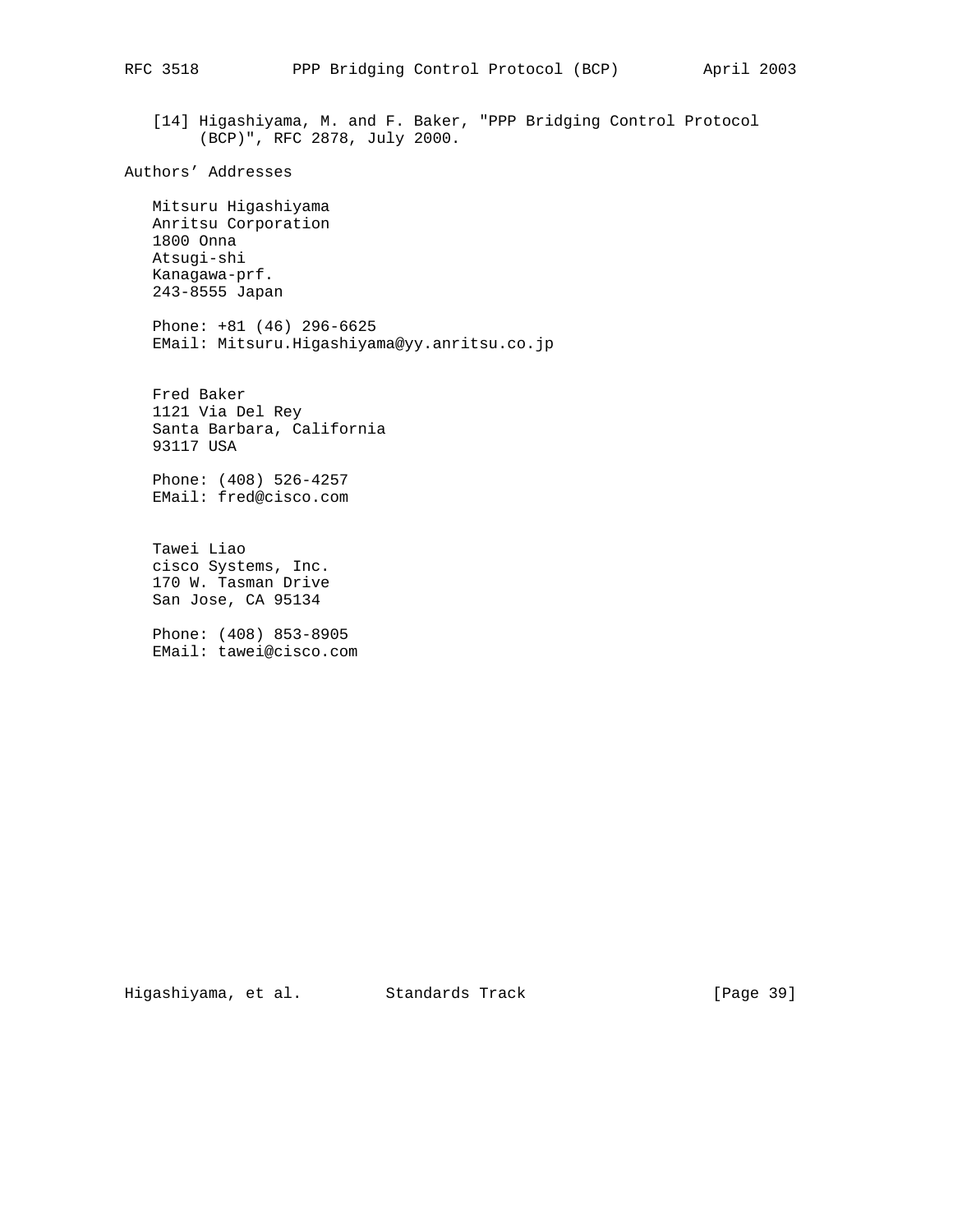[14] Higashiyama, M. and F. Baker, "PPP Bridging Control Protocol (BCP)", RFC 2878, July 2000.

Authors' Addresses

 Mitsuru Higashiyama Anritsu Corporation 1800 Onna Atsugi-shi Kanagawa-prf. 243-8555 Japan

 Phone: +81 (46) 296-6625 EMail: Mitsuru.Higashiyama@yy.anritsu.co.jp

 Fred Baker 1121 Via Del Rey Santa Barbara, California 93117 USA

 Phone: (408) 526-4257 EMail: fred@cisco.com

 Tawei Liao cisco Systems, Inc. 170 W. Tasman Drive San Jose, CA 95134

 Phone: (408) 853-8905 EMail: tawei@cisco.com

Higashiyama, et al. Standards Track [Page 39]